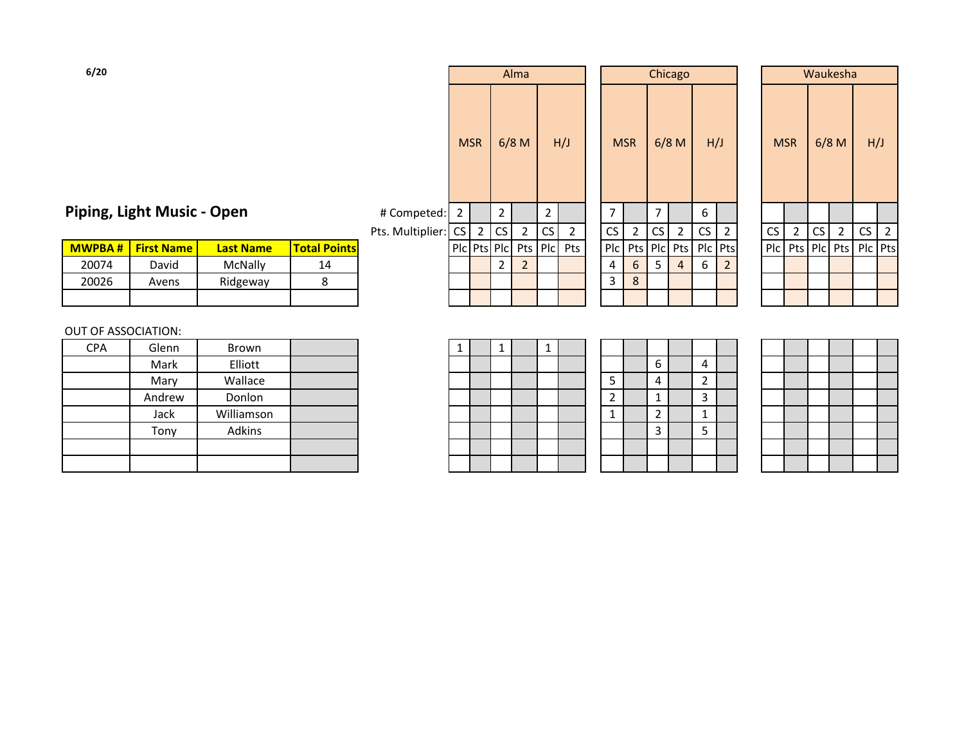| Piping, Light Music - Open |  |  |
|----------------------------|--|--|
|----------------------------|--|--|

|       | <b>MWPBA # First Name</b> | <b>Last Name</b> | <b>Total Points</b> |  |  |  | Plc Pts Plc  Pts Plc  Pts |  |   |       | Plc   Pts   Plc   Pts   Plc   Pts |  |  |  | PIc Pts PIc Pts PIc Pts |  |
|-------|---------------------------|------------------|---------------------|--|--|--|---------------------------|--|---|-------|-----------------------------------|--|--|--|-------------------------|--|
| 20074 | David                     | <b>McNally</b>   | 14                  |  |  |  |                           |  | b | $\mu$ | b                                 |  |  |  |                         |  |
| 20026 | Avens                     | Ridgeway         |                     |  |  |  |                           |  | 8 |       |                                   |  |  |  |                         |  |
|       |                           |                  |                     |  |  |  |                           |  |   |       |                                   |  |  |  |                         |  |

### OUT OF ASSOCIATION:

| <b>CPA</b> | Glenn  | Brown      |  |
|------------|--------|------------|--|
|            | Mark   | Elliott    |  |
|            | Mary   | Wallace    |  |
|            | Andrew | Donlon     |  |
|            | Jack   | Williamson |  |
|            | Tony   | Adkins     |  |
|            |        |            |  |
|            |        |            |  |

| 6/20          |                            |                  |                     |                     |            |                |                | Alma           |    |                         |            |                         |    | Chicago        |     |                |            |                |         | Waukesha               |     |  |
|---------------|----------------------------|------------------|---------------------|---------------------|------------|----------------|----------------|----------------|----|-------------------------|------------|-------------------------|----|----------------|-----|----------------|------------|----------------|---------|------------------------|-----|--|
|               |                            |                  |                     |                     | <b>MSR</b> |                |                | $6/8$ M        |    | H/J                     | <b>MSR</b> |                         |    | $6/8$ M        | H/J |                | <b>MSR</b> |                | $6/8$ M |                        | H/J |  |
|               | Piping, Light Music - Open |                  |                     | # Competed: 2       |            |                | 2              |                | 2  |                         | 7          |                         | ⇁  |                | 6   |                |            |                |         |                        |     |  |
|               |                            |                  |                     | Pts. Multiplier: CS |            | $\overline{2}$ | CS             | $\overline{2}$ | CS | $\mathbf{2}$            | CS         | 2                       | CS | $2^{\circ}$    | CS  | $\overline{2}$ | CS         | $\overline{2}$ | CS      | $\overline{2}$         | CS  |  |
| <b>MWPBA#</b> | <b>First Name</b>          | <b>Last Name</b> | <b>Total Points</b> |                     |            |                |                |                |    | PIC Pts PIC Pts PIC Pts |            | Plc Pts Plc Pts Plc Pts |    |                |     |                |            |                |         | PIC Pts PIC Pts PIC Pt |     |  |
| 20074         | David                      | McNally          | 14                  |                     |            |                | $\overline{2}$ | 2              |    |                         | 4          | 6                       | 5  | $\overline{4}$ | 6   | $\overline{2}$ |            |                |         |                        |     |  |
| 20026         | Avens                      | Ridgeway         | 8                   |                     |            |                |                |                |    |                         | 3          | 8                       |    |                |     |                |            |                |         |                        |     |  |
|               |                            |                  |                     |                     |            |                |                |                |    |                         |            |                         |    |                |     |                |            |                |         |                        |     |  |
|               |                            |                  |                     |                     |            |                |                |                |    |                         |            |                         |    |                |     |                |            |                |         |                        |     |  |

|              | Alma           |                |                |     |            |            | Chicago        |           |                |           |            |           | Waukesha |                |  |
|--------------|----------------|----------------|----------------|-----|------------|------------|----------------|-----------|----------------|-----------|------------|-----------|----------|----------------|--|
|              | $6/8$ M        |                | H/J            |     | <b>MSR</b> |            | $6/8$ M        | H/J       |                |           | <b>MSR</b> |           | $6/8$ M  | H/J            |  |
| 2            |                | $\overline{2}$ |                | 7   |            | 7          |                | 6         |                |           |            |           |          |                |  |
| $\mathsf{S}$ | 2              | CS             | $\overline{2}$ | CS  | 2          | CS         | 2              | <b>CS</b> | 2              | <b>CS</b> | 2          | <b>CS</b> | 2        | <b>CS</b>      |  |
| 'lc          | Pts            | P C            | Pts            | Plc | Pts        | <b>PIc</b> | Pts            | Plc       | Pts            | Plc       | Pts        | Plc       | Pts      | P <sub>c</sub> |  |
| 2            | $\overline{2}$ |                |                | 4   | 6          | 5          | $\overline{4}$ | 6         | $\overline{2}$ |           |            |           |          |                |  |
|              |                |                |                | 3   | 8          |            |                |           |                |           |            |           |          |                |  |
|              |                |                |                |     |            |            |                |           |                |           |            |           |          |                |  |
|              |                |                |                |     |            |            |                |           |                |           |            |           |          |                |  |

|     |             |           | Waukesha       |           |                |
|-----|-------------|-----------|----------------|-----------|----------------|
|     | <b>MSR</b>  |           | $6/8$ M        | H/J       |                |
|     |             |           |                |           |                |
| CS  | $\mathbf 2$ | <b>CS</b> | $\overline{2}$ | <b>CS</b> | $\overline{2}$ |
| Plc | Pts         | Plc       | Pts            | Plc       | Pts            |
|     |             |           |                |           |                |
|     |             |           |                |           |                |
|     |             |           |                |           |                |

| 1<br>$\mathbf{1}$<br>$\mathbf{1}$ |  |
|-----------------------------------|--|
|                                   |  |
|                                   |  |
|                                   |  |
|                                   |  |
|                                   |  |
|                                   |  |
|                                   |  |

|                | 6                       | 4              |  |
|----------------|-------------------------|----------------|--|
| 5              | $\overline{4}$          | $\overline{c}$ |  |
| $\overline{2}$ | $\overline{1}$          | 3              |  |
| 1              | $\overline{\mathbf{c}}$ | $\mathbf{1}$   |  |
|                | $\overline{3}$          | $\overline{5}$ |  |
|                |                         |                |  |
|                |                         |                |  |

|  | $\leftarrow$ |  |
|--|--------------|--|
|  |              |  |
|  |              |  |
|  |              |  |
|  |              |  |
|  | ι            |  |
|  |              |  |
|  |              |  |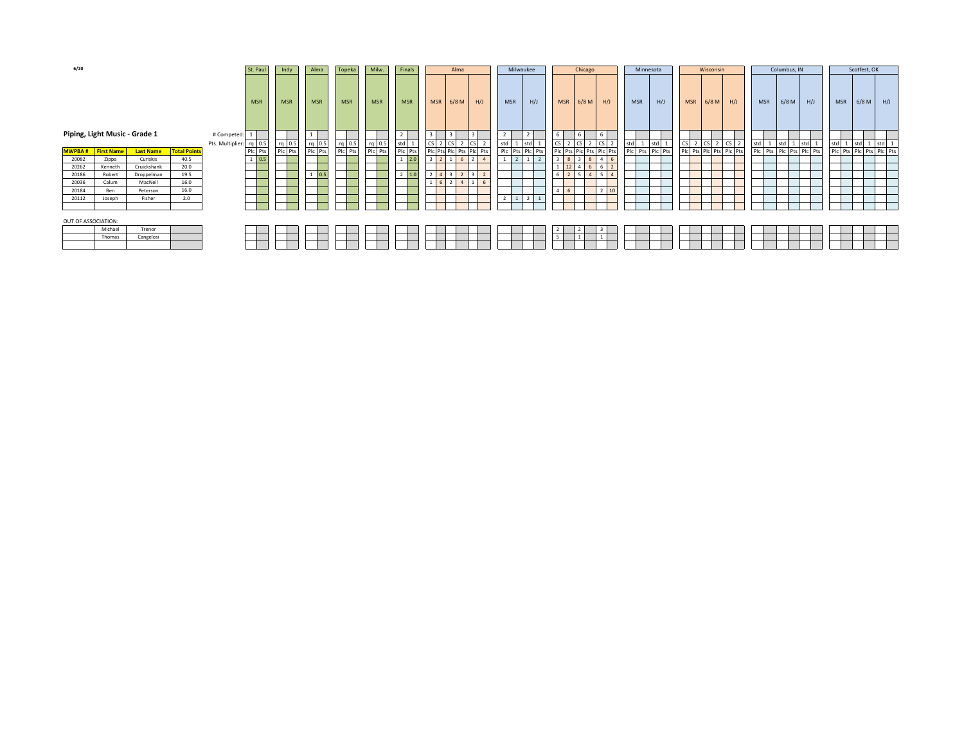| 6/20                          |         |                  |                     |                         | St. Paul     | Indy       | Alma              | Topeka     | Milw.      | Finals           |               | Alma    |                 |                | Milwaukee       |                 | Chicago         |                |            | Minnesota       |        | Wisconsin               |                  |            |       | Columbus, IN            |     |            | Scotfest, OK |                         |
|-------------------------------|---------|------------------|---------------------|-------------------------|--------------|------------|-------------------|------------|------------|------------------|---------------|---------|-----------------|----------------|-----------------|-----------------|-----------------|----------------|------------|-----------------|--------|-------------------------|------------------|------------|-------|-------------------------|-----|------------|--------------|-------------------------|
|                               |         |                  |                     |                         | <b>MSR</b>   | <b>MSR</b> | <b>MSR</b>        | <b>MSR</b> | <b>MSR</b> | <b>MSR</b>       | <b>MSR</b>    | $6/8$ M | H/J             | <b>MSR</b>     | H/J             | <b>MSR</b>      | $6/8$ M         | H/J            | <b>MSR</b> | H/J             |        | MSR 6/8 M H/J           |                  | <b>MSR</b> |       | $6/8$ M                 | H/J | <b>MSR</b> |              | $6/8 M$ H/J             |
| Piping, Light Music - Grade 1 |         |                  |                     | # Competed:             |              |            |                   |            |            | 2 <sub>1</sub>   |               |         |                 |                |                 | 6               |                 |                |            |                 |        |                         |                  |            |       |                         |     |            |              |                         |
|                               |         |                  |                     | Pts. Multiplier: rq 0.5 |              | rq 0.5     | rq 0.5<br>Plc Pts | rq 0.5     | rq 0.5     | std 1<br>Plc Pts |               |         |                 | std            | 1 std           | CS <sub>1</sub> |                 | CS             | std 1      |                 | $CS$ 2 |                         | $2 \, \text{CS}$ | std        | std 1 | <b>I</b> std            |     | stdl       | std          | std                     |
| <b>MWPBA # First Name</b>     |         | <b>Last Name</b> | <b>Total Points</b> |                         | Plc Pts      | Plc Pts    |                   | Plc Pts    | Plc Pts    |                  | <b>Ic Pts</b> |         | Plc Pts Plc Pts |                | Plc Pts Plc Pts |                 | Pic Pts Pic Pts | Plc Pts        |            | Plc Pts Plc Pts |        | Plc Pts Plc Pts Plc Pts |                  |            |       | Plc Pts Plc Pts Plc Pts |     |            |              | Plc Pts Plc Pts Plc Pts |
| 20082                         | Zippa   | Curiskis         | 40.5                |                         | $1 \mid 0.5$ |            |                   |            |            | $1 \quad 2.0$    |               |         |                 | 2 <sup>1</sup> |                 |                 | $3 \mid 8$      |                |            |                 |        |                         |                  |            |       |                         |     |            |              |                         |
| 20262                         | Kenneth | Cruickshank      | 20.0                |                         |              |            |                   |            |            |                  |               |         |                 |                |                 |                 |                 | 6              |            |                 |        |                         |                  |            |       |                         |     |            |              |                         |
| 20186                         | Robert  | Droppelman       | 19.5                |                         |              |            | $1\overline{0.5}$ |            |            | $2 \mid 1.0$     |               |         |                 |                |                 |                 | $\overline{4}$  | 5 <sup>1</sup> |            |                 |        |                         |                  |            |       |                         |     |            |              |                         |
| 20036                         | Calum   | MacNeil          | 16.0                |                         |              |            |                   |            |            |                  |               |         |                 |                |                 |                 |                 |                |            |                 |        |                         |                  |            |       |                         |     |            |              |                         |
| 20184                         | Ben     | Peterson         | 16.0                |                         |              |            |                   |            |            |                  |               |         |                 |                |                 |                 |                 |                |            |                 |        |                         |                  |            |       |                         |     |            |              |                         |
| 20112                         | Joseph  | Fisher           | 2.0                 |                         |              |            |                   |            |            |                  |               |         |                 |                | $1 \mid 2$      |                 |                 |                |            |                 |        |                         |                  |            |       |                         |     |            |              |                         |
|                               |         |                  |                     |                         |              |            |                   |            |            |                  |               |         |                 |                |                 |                 |                 |                |            |                 |        |                         |                  |            |       |                         |     |            |              |                         |
| OUT OF ASSOCIATION:           |         |                  |                     |                         |              |            |                   |            |            |                  |               |         |                 |                |                 |                 |                 |                |            |                 |        |                         |                  |            |       |                         |     |            |              |                         |
|                               | Michael | Trenor           |                     |                         |              |            |                   |            |            |                  |               |         |                 |                |                 |                 |                 |                |            |                 |        |                         |                  |            |       |                         |     |            |              |                         |
|                               | Thomas  | Cangelosi        |                     |                         |              |            |                   |            |            |                  |               |         |                 |                |                 |                 |                 |                |            |                 |        |                         |                  |            |       |                         |     |            |              |                         |
|                               |         |                  |                     |                         |              |            |                   |            |            |                  |               |         |                 |                |                 |                 |                 |                |            |                 |        |                         |                  |            |       |                         |     |            |              |                         |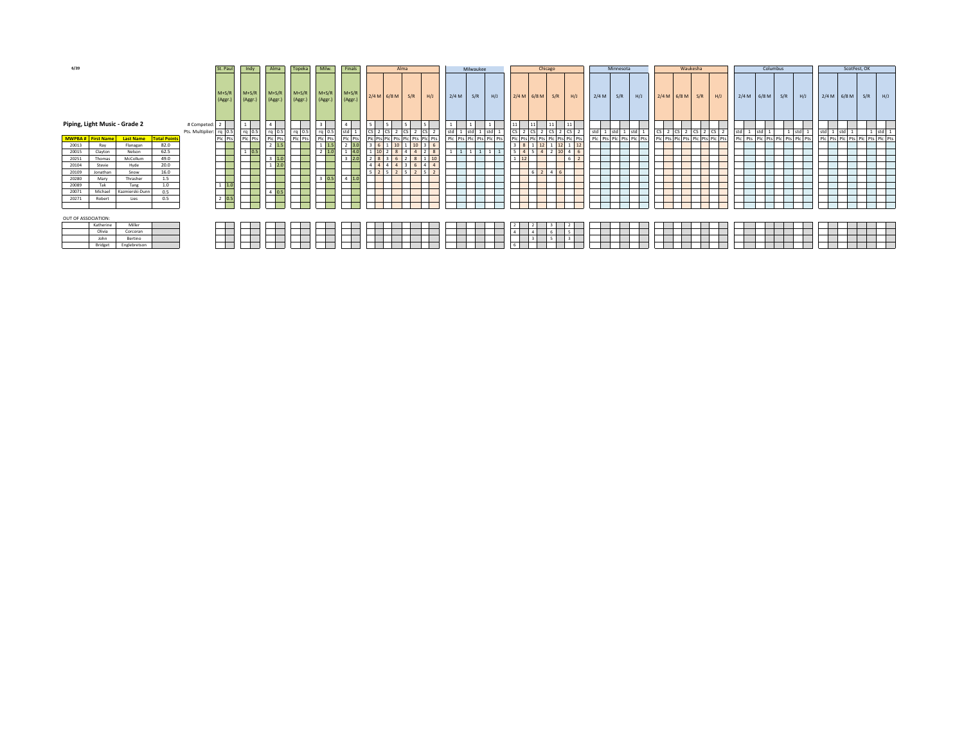| 6/20                |                          |                               |                     |                         | St. Paul                 | Indy              | Alma               | Topeka             | Milw.              | Finals             |    |               | Alma                    |                |       | Milwaukee               |     |                |               | Chicago                     |                       |         | Minnesota               |     | Waukesha      |     |                                 |     | Columbus      |                                 |                                 | ScotFest, OK |     |     |
|---------------------|--------------------------|-------------------------------|---------------------|-------------------------|--------------------------|-------------------|--------------------|--------------------|--------------------|--------------------|----|---------------|-------------------------|----------------|-------|-------------------------|-----|----------------|---------------|-----------------------------|-----------------------|---------|-------------------------|-----|---------------|-----|---------------------------------|-----|---------------|---------------------------------|---------------------------------|--------------|-----|-----|
|                     |                          |                               |                     |                         | $M+S/F$<br>(Aggr.)       | $M+S/R$<br>(Aggr. | $M+S/R$<br>(Aggr.) | $M+S/R$<br>(Aggr.) | $M+S/R$<br>(Aggr.) | $M+S/R$<br>(Aggr.) |    | $2/4 M$ 6/8 M | S/R                     | H/J            | 2/4 M | S/R                     | H/J |                | $2/4 M$ 6/8 M | S/R                         | H/J                   | $2/4$ M | S/R                     | H/J | $2/4 M$ 6/8 M | S/R | H/J                             |     | $2/4 M$ 6/8 M | H/J<br>S/R                      | $2/4 M$ 6/8 M                   |              | S/R | H/J |
|                     |                          | Piping, Light Music - Grade 2 |                     | # Competed:<br>. 2 .    |                          |                   |                    |                    |                    |                    |    |               |                         |                |       |                         |     |                |               | 11                          | $\vert$ 11            |         |                         |     |               |     |                                 |     |               |                                 |                                 |              |     |     |
|                     |                          |                               |                     | Pts. Multiplier: rq 0.5 |                          | rq 0.5            |                    |                    | rg 0.5             |                    |    |               |                         |                | std   |                         |     |                |               |                             | c                     |         | std                     |     |               |     |                                 | std | std           |                                 | std 1 std                       |              |     |     |
|                     | <b>MWPBA#</b> First Name | <b>Last Name</b>              | <b>Total Points</b> |                         | Plc Pts                  | Plc Pts           | rq 0.5<br>Plc Pts  | rq 0.5<br>Plc Pts  | Plc Pts            | Plc Pts            |    |               | Pic Pts Pic Pts Pic Pts | Plc Pts        |       | Plc Pts Plc Pts Plc Pts |     |                |               | Pts Plc Pts Plc Pts Plc Pts |                       |         | Plc Pts Plc Pts Plc Pts |     |               |     | Plc Pts Plc Pts Plc Pts Plc Pts |     |               | Plc Pts Plc Pts Plc Pts Plc Pts | Plc Pts Plc Pts Plc Pts Plc Pts |              |     |     |
| 20013               | Ray                      | Flanagan                      | 82.0                |                         |                          |                   | $2 \mid 1.5$       |                    | $1 \quad 1.5$      | 2 3.0              |    | 10            | $1 \vert 10 \vert$      |                |       |                         |     | 8 <sup>1</sup> | 12            |                             | $12 \quad 1 \quad 12$ |         |                         |     |               |     |                                 |     |               |                                 |                                 |              |     |     |
| 20015               | Clayton                  | Nelson                        | 62.5                |                         |                          |                   |                    |                    |                    | 1 4.0              | 10 |               |                         |                |       |                         |     |                | 4 5           |                             |                       |         |                         |     |               |     |                                 |     |               |                                 |                                 |              |     |     |
| 20251               | Thomas                   | McCollum                      | 49.0                |                         |                          |                   | 3   1.0            |                    |                    | $3 \ 2.0$          |    |               | $2 \times 8 \times 1$   | 10             |       |                         |     | 12             |               |                             | 6                     |         |                         |     |               |     |                                 |     |               |                                 |                                 |              |     |     |
| 20104               | Stevie                   | Hyde                          | 20.0                |                         |                          |                   | $1 \ 2.0$          |                    |                    |                    |    |               |                         | $\overline{4}$ |       |                         |     |                |               |                             |                       |         |                         |     |               |     |                                 |     |               |                                 |                                 |              |     |     |
| 20109               | Jonathan                 | Snow                          | 16.0                |                         |                          |                   |                    |                    |                    |                    |    |               | $5 \mid 2 \mid 5$       |                |       |                         |     |                | 6 2           | $4 \mid 6$                  |                       |         |                         |     |               |     |                                 |     |               |                                 |                                 |              |     |     |
| 20280               | Mary                     | Thrasher                      | 1.5                 |                         |                          |                   |                    |                    | 3   0.5            | $4 \mid 1.0$       |    |               |                         |                |       |                         |     |                |               |                             |                       |         |                         |     |               |     |                                 |     |               |                                 |                                 |              |     |     |
| 20089               | Tak                      | Tang                          | 1.0                 |                         | $1 \overline{)1.0}$<br>— |                   |                    |                    |                    |                    |    |               |                         |                |       |                         |     |                |               |                             |                       |         |                         |     |               |     |                                 |     |               |                                 |                                 |              |     |     |
| 20071               | Michael                  | Kazmierski-Dunn               | 0.5                 |                         |                          |                   | $4 \ 0.5$          |                    |                    |                    |    |               |                         |                |       |                         |     |                |               |                             |                       |         |                         |     |               |     |                                 |     |               |                                 |                                 |              |     |     |
| 20271               | Robert                   | Lies                          | 0.5                 |                         | $2 \overline{0.5}$       |                   |                    |                    |                    |                    |    |               |                         |                |       |                         |     |                |               |                             |                       |         |                         |     |               |     |                                 |     |               |                                 |                                 |              |     |     |
|                     |                          |                               |                     |                         |                          |                   |                    |                    |                    |                    |    |               |                         |                |       |                         |     |                |               |                             |                       |         |                         |     |               |     |                                 |     |               |                                 |                                 |              |     |     |
| OUT OF ASSOCIATION: |                          |                               |                     |                         |                          |                   |                    |                    |                    |                    |    |               |                         |                |       |                         |     |                |               |                             |                       |         |                         |     |               |     |                                 |     |               |                                 |                                 |              |     |     |
|                     | Katherine                | Miller                        |                     |                         |                          |                   |                    |                    |                    |                    |    |               |                         |                |       |                         |     |                |               |                             |                       |         |                         |     |               |     |                                 |     |               |                                 |                                 |              |     |     |
|                     | Olivia                   | Corcoran                      |                     |                         |                          |                   |                    |                    |                    |                    |    |               |                         |                |       |                         |     |                |               |                             | - 5                   |         |                         |     |               |     |                                 |     |               |                                 |                                 |              |     |     |
|                     | John                     | Bertino                       |                     |                         |                          |                   |                    |                    |                    |                    |    |               |                         |                |       |                         |     |                |               |                             |                       |         |                         |     |               |     |                                 |     |               |                                 |                                 |              |     |     |
|                     | Bridget                  | Englebretson                  |                     |                         |                          |                   |                    |                    |                    |                    |    |               |                         |                |       |                         |     |                |               |                             |                       |         |                         |     |               |     |                                 |     |               |                                 |                                 |              |     |     |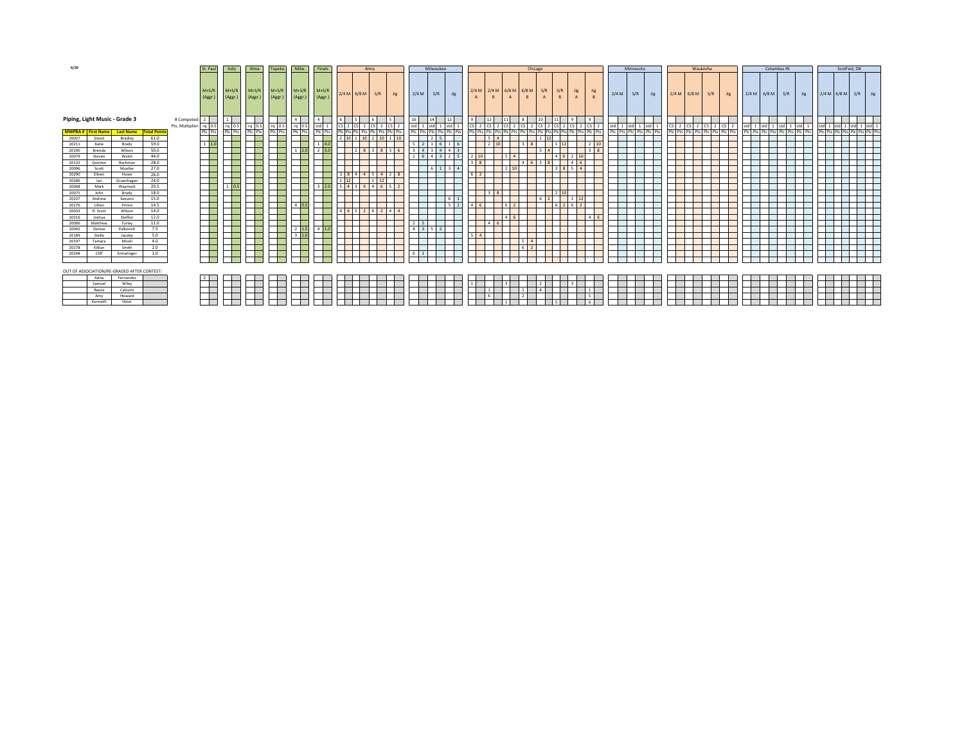| $M+S/R$<br>$M+S/R$<br>$M+S/R$<br>2/4 M 2/4 M 6/8 M 6/8 M<br>S/R<br>S/R<br>$M+S/R$<br>$M+S/R$<br>$M+S/R$<br><b>Jig</b><br><b>Jis</b><br>$2/4 M$ 6/8 M<br>$2/4 M$ S/R<br>$2/4 M$ 6/8 M<br>$2/4 M$ 6/8 M S/R<br>2/4 M 6/8 M S/R Jig<br>S/R<br>S/R<br><b>Jig</b><br>S/R<br><b>Jig</b><br>2/4M<br><b>Jig</b><br>Jig<br><b>Jig</b><br>(Aggr.)<br>(Aggr.)<br>(Aggr.)<br>(Aggr.)<br>(Aggr.)<br>$\overline{R}$<br>(Aggr.)<br>Piping, Light Music - Grade 3<br># Competed: 2<br>16<br>14<br>$12\,$<br>$\theta$<br>12<br>$\mathbf{Q}$<br>$CS$ 2 $CS$<br>$\sim$<br>Pts. Multiplier: rq 0.5<br>rq 0.5<br>$rq$ 0.5<br>std<br>std 1 std<br>$rq$ 0.5<br>rg 0.5<br>2 CS 2 CS 2<br>std 1 std<br>std 1 std 1 std<br>$ cs $ 2 $ cs $ 2 $ cs $ 2 $ cs $ 2<br>1 std 1 std<br>$\lfloor cs \rfloor$ $\lfloor cs \rfloor$ $\lfloor cs \rfloor$ $\lfloor cs \rfloor$ $\lfloor cs \rfloor$<br>2 CS 2<br>std 1<br>1 std 1 std 1<br>std 1<br>Plc Pts<br>Plc Pts<br>Plc Pts<br>Plc Pts<br>Plc Pts<br>PIC Pts PIC Pts PIC Pts PIC Pts<br>PIC Pts PIC Pts PIC Pts PIC Pts<br>Plc Pts<br>Plc Pts Plc Pts Plc Pts<br>Plc Pts Plc Pts Plc Pts Plc Pts<br>MWPBA # First Name Last Name<br><b>Total Points</b><br>PIC Pts PIC Pts PIC Pts PIC Pts<br>Plc Pts Plc Pts Plc Pts<br>Pts Pic Pts Pic Pts Pic Pts Pic Pts Pic Pts Pic Pts Pic Pts<br>Plc Pts Plc<br>2 10 1 10 2 10 1 10<br>61.0<br>David<br>Bradley<br>20027<br>$1 \vert 1.0$<br>$1 \t 4.0$<br>$2 \quad 10$<br>$1 \quad 6$<br>20211<br>Katie<br>Brady<br>59.0<br>$2 \mid 1 \mid 6 \mid$<br>$1 \mid 12$<br>$2 \overline{3.0}$<br>50.0<br>$1 \overline{2.0}$<br>38<br>2 8 3 8 3 6<br>20190<br>Wilson<br>Brenda<br>44.0<br>20079<br>Steven<br>Walsh<br>6<br>28.0<br>20132<br>Quinten<br>Bachman<br>$\Lambda$<br>Scott<br>Mueller<br>27.0<br>61<br>2 10 <br>20096<br>3R<br>5 4<br>$3 \quad 8 \quad 4 \quad 4$<br>26.0<br>$5 \mid 4 \mid 2 \mid 8$<br>20290<br>Eileen<br>Howe<br>24.0<br>$1\overline{12}$<br>$1 \quad 12$<br>20286<br>Gruenhagen<br>lan<br>20.5<br>10 <sup>t</sup><br>$3 \, 2.0$<br>5 4 3 6 4 6 5<br>Mark<br>20048<br>Waymack<br>18.0<br>210<br>Brady<br>20075<br>lohn<br>15.0<br>20237<br>Andrew<br>Seevers<br>$4 \overline{0.5}$<br>14.5<br>$4 \mid 6 \mid$<br>6 2 6 2<br>20176<br>Lillian<br>Prince<br>$5 \mid 2 \mid$<br>6 2<br>46526244<br>20033<br>R. Scott<br>Wilson<br>14.0<br>Steffen<br>12.0<br>20216<br>Joshua<br>$4 \overline{6}$<br>$4 \mid 6$<br>20006<br>11.0<br>Matthew<br>Turley<br>$2 \mid 1.5$<br>7.5<br>$4 \quad 1.0$<br>$3 \mid 5 \mid 2$<br>Palkovich<br>20042<br>Denise<br>$\Lambda$<br>$3 \overline{)1.0}$<br>5.0<br>$5 \mid 4 \mid$<br>Stella<br>20189<br>Jacoby<br>4.0<br>$\sim$<br>20197<br>Tamara<br>Miceli<br>2.0<br>6 2<br>Smith<br>20178<br>Killian<br>20248<br>Cliff<br>Ermatinger<br>1.0<br>OUT OF ASSOCIATION/RE-GRADED AFTER CONTEST:<br>Adria<br>Fernandez<br>Samuel<br>Wiley<br>Reece<br>Calovini<br>-⊢<br>Howard<br>Amy<br>Kenneth<br>Hiner | 6/20 |  |  | St. Paul | Indy | Alma | Topeka | Milw. | Finals |  | Alma |  | Milwaukee |  |  | Chicago |  |  | Minnesota |  | Waukesha |  | Columbus IN |  | ScotFest, OK |  |
|-------------------------------------------------------------------------------------------------------------------------------------------------------------------------------------------------------------------------------------------------------------------------------------------------------------------------------------------------------------------------------------------------------------------------------------------------------------------------------------------------------------------------------------------------------------------------------------------------------------------------------------------------------------------------------------------------------------------------------------------------------------------------------------------------------------------------------------------------------------------------------------------------------------------------------------------------------------------------------------------------------------------------------------------------------------------------------------------------------------------------------------------------------------------------------------------------------------------------------------------------------------------------------------------------------------------------------------------------------------------------------------------------------------------------------------------------------------------------------------------------------------------------------------------------------------------------------------------------------------------------------------------------------------------------------------------------------------------------------------------------------------------------------------------------------------------------------------------------------------------------------------------------------------------------------------------------------------------------------------------------------------------------------------------------------------------------------------------------------------------------------------------------------------------------------------------------------------------------------------------------------------------------------------------------------------------------------------------------------------------------------------------------------------------------------------------------------------------------------------------------------------------------------------------------------------------------------------------------------------------------------------------------------------------------------------------------------------------------------------------------------------------------------------------------------------------------------------------------------------------------------------------------------------------|------|--|--|----------|------|------|--------|-------|--------|--|------|--|-----------|--|--|---------|--|--|-----------|--|----------|--|-------------|--|--------------|--|
|                                                                                                                                                                                                                                                                                                                                                                                                                                                                                                                                                                                                                                                                                                                                                                                                                                                                                                                                                                                                                                                                                                                                                                                                                                                                                                                                                                                                                                                                                                                                                                                                                                                                                                                                                                                                                                                                                                                                                                                                                                                                                                                                                                                                                                                                                                                                                                                                                                                                                                                                                                                                                                                                                                                                                                                                                                                                                                                   |      |  |  |          |      |      |        |       |        |  |      |  |           |  |  |         |  |  |           |  |          |  |             |  |              |  |
|                                                                                                                                                                                                                                                                                                                                                                                                                                                                                                                                                                                                                                                                                                                                                                                                                                                                                                                                                                                                                                                                                                                                                                                                                                                                                                                                                                                                                                                                                                                                                                                                                                                                                                                                                                                                                                                                                                                                                                                                                                                                                                                                                                                                                                                                                                                                                                                                                                                                                                                                                                                                                                                                                                                                                                                                                                                                                                                   |      |  |  |          |      |      |        |       |        |  |      |  |           |  |  |         |  |  |           |  |          |  |             |  |              |  |
|                                                                                                                                                                                                                                                                                                                                                                                                                                                                                                                                                                                                                                                                                                                                                                                                                                                                                                                                                                                                                                                                                                                                                                                                                                                                                                                                                                                                                                                                                                                                                                                                                                                                                                                                                                                                                                                                                                                                                                                                                                                                                                                                                                                                                                                                                                                                                                                                                                                                                                                                                                                                                                                                                                                                                                                                                                                                                                                   |      |  |  |          |      |      |        |       |        |  |      |  |           |  |  |         |  |  |           |  |          |  |             |  |              |  |
|                                                                                                                                                                                                                                                                                                                                                                                                                                                                                                                                                                                                                                                                                                                                                                                                                                                                                                                                                                                                                                                                                                                                                                                                                                                                                                                                                                                                                                                                                                                                                                                                                                                                                                                                                                                                                                                                                                                                                                                                                                                                                                                                                                                                                                                                                                                                                                                                                                                                                                                                                                                                                                                                                                                                                                                                                                                                                                                   |      |  |  |          |      |      |        |       |        |  |      |  |           |  |  |         |  |  |           |  |          |  |             |  |              |  |
|                                                                                                                                                                                                                                                                                                                                                                                                                                                                                                                                                                                                                                                                                                                                                                                                                                                                                                                                                                                                                                                                                                                                                                                                                                                                                                                                                                                                                                                                                                                                                                                                                                                                                                                                                                                                                                                                                                                                                                                                                                                                                                                                                                                                                                                                                                                                                                                                                                                                                                                                                                                                                                                                                                                                                                                                                                                                                                                   |      |  |  |          |      |      |        |       |        |  |      |  |           |  |  |         |  |  |           |  |          |  |             |  |              |  |
|                                                                                                                                                                                                                                                                                                                                                                                                                                                                                                                                                                                                                                                                                                                                                                                                                                                                                                                                                                                                                                                                                                                                                                                                                                                                                                                                                                                                                                                                                                                                                                                                                                                                                                                                                                                                                                                                                                                                                                                                                                                                                                                                                                                                                                                                                                                                                                                                                                                                                                                                                                                                                                                                                                                                                                                                                                                                                                                   |      |  |  |          |      |      |        |       |        |  |      |  |           |  |  |         |  |  |           |  |          |  |             |  |              |  |
|                                                                                                                                                                                                                                                                                                                                                                                                                                                                                                                                                                                                                                                                                                                                                                                                                                                                                                                                                                                                                                                                                                                                                                                                                                                                                                                                                                                                                                                                                                                                                                                                                                                                                                                                                                                                                                                                                                                                                                                                                                                                                                                                                                                                                                                                                                                                                                                                                                                                                                                                                                                                                                                                                                                                                                                                                                                                                                                   |      |  |  |          |      |      |        |       |        |  |      |  |           |  |  |         |  |  |           |  |          |  |             |  |              |  |
|                                                                                                                                                                                                                                                                                                                                                                                                                                                                                                                                                                                                                                                                                                                                                                                                                                                                                                                                                                                                                                                                                                                                                                                                                                                                                                                                                                                                                                                                                                                                                                                                                                                                                                                                                                                                                                                                                                                                                                                                                                                                                                                                                                                                                                                                                                                                                                                                                                                                                                                                                                                                                                                                                                                                                                                                                                                                                                                   |      |  |  |          |      |      |        |       |        |  |      |  |           |  |  |         |  |  |           |  |          |  |             |  |              |  |
|                                                                                                                                                                                                                                                                                                                                                                                                                                                                                                                                                                                                                                                                                                                                                                                                                                                                                                                                                                                                                                                                                                                                                                                                                                                                                                                                                                                                                                                                                                                                                                                                                                                                                                                                                                                                                                                                                                                                                                                                                                                                                                                                                                                                                                                                                                                                                                                                                                                                                                                                                                                                                                                                                                                                                                                                                                                                                                                   |      |  |  |          |      |      |        |       |        |  |      |  |           |  |  |         |  |  |           |  |          |  |             |  |              |  |
|                                                                                                                                                                                                                                                                                                                                                                                                                                                                                                                                                                                                                                                                                                                                                                                                                                                                                                                                                                                                                                                                                                                                                                                                                                                                                                                                                                                                                                                                                                                                                                                                                                                                                                                                                                                                                                                                                                                                                                                                                                                                                                                                                                                                                                                                                                                                                                                                                                                                                                                                                                                                                                                                                                                                                                                                                                                                                                                   |      |  |  |          |      |      |        |       |        |  |      |  |           |  |  |         |  |  |           |  |          |  |             |  |              |  |
|                                                                                                                                                                                                                                                                                                                                                                                                                                                                                                                                                                                                                                                                                                                                                                                                                                                                                                                                                                                                                                                                                                                                                                                                                                                                                                                                                                                                                                                                                                                                                                                                                                                                                                                                                                                                                                                                                                                                                                                                                                                                                                                                                                                                                                                                                                                                                                                                                                                                                                                                                                                                                                                                                                                                                                                                                                                                                                                   |      |  |  |          |      |      |        |       |        |  |      |  |           |  |  |         |  |  |           |  |          |  |             |  |              |  |
|                                                                                                                                                                                                                                                                                                                                                                                                                                                                                                                                                                                                                                                                                                                                                                                                                                                                                                                                                                                                                                                                                                                                                                                                                                                                                                                                                                                                                                                                                                                                                                                                                                                                                                                                                                                                                                                                                                                                                                                                                                                                                                                                                                                                                                                                                                                                                                                                                                                                                                                                                                                                                                                                                                                                                                                                                                                                                                                   |      |  |  |          |      |      |        |       |        |  |      |  |           |  |  |         |  |  |           |  |          |  |             |  |              |  |
|                                                                                                                                                                                                                                                                                                                                                                                                                                                                                                                                                                                                                                                                                                                                                                                                                                                                                                                                                                                                                                                                                                                                                                                                                                                                                                                                                                                                                                                                                                                                                                                                                                                                                                                                                                                                                                                                                                                                                                                                                                                                                                                                                                                                                                                                                                                                                                                                                                                                                                                                                                                                                                                                                                                                                                                                                                                                                                                   |      |  |  |          |      |      |        |       |        |  |      |  |           |  |  |         |  |  |           |  |          |  |             |  |              |  |
|                                                                                                                                                                                                                                                                                                                                                                                                                                                                                                                                                                                                                                                                                                                                                                                                                                                                                                                                                                                                                                                                                                                                                                                                                                                                                                                                                                                                                                                                                                                                                                                                                                                                                                                                                                                                                                                                                                                                                                                                                                                                                                                                                                                                                                                                                                                                                                                                                                                                                                                                                                                                                                                                                                                                                                                                                                                                                                                   |      |  |  |          |      |      |        |       |        |  |      |  |           |  |  |         |  |  |           |  |          |  |             |  |              |  |
|                                                                                                                                                                                                                                                                                                                                                                                                                                                                                                                                                                                                                                                                                                                                                                                                                                                                                                                                                                                                                                                                                                                                                                                                                                                                                                                                                                                                                                                                                                                                                                                                                                                                                                                                                                                                                                                                                                                                                                                                                                                                                                                                                                                                                                                                                                                                                                                                                                                                                                                                                                                                                                                                                                                                                                                                                                                                                                                   |      |  |  |          |      |      |        |       |        |  |      |  |           |  |  |         |  |  |           |  |          |  |             |  |              |  |
|                                                                                                                                                                                                                                                                                                                                                                                                                                                                                                                                                                                                                                                                                                                                                                                                                                                                                                                                                                                                                                                                                                                                                                                                                                                                                                                                                                                                                                                                                                                                                                                                                                                                                                                                                                                                                                                                                                                                                                                                                                                                                                                                                                                                                                                                                                                                                                                                                                                                                                                                                                                                                                                                                                                                                                                                                                                                                                                   |      |  |  |          |      |      |        |       |        |  |      |  |           |  |  |         |  |  |           |  |          |  |             |  |              |  |
|                                                                                                                                                                                                                                                                                                                                                                                                                                                                                                                                                                                                                                                                                                                                                                                                                                                                                                                                                                                                                                                                                                                                                                                                                                                                                                                                                                                                                                                                                                                                                                                                                                                                                                                                                                                                                                                                                                                                                                                                                                                                                                                                                                                                                                                                                                                                                                                                                                                                                                                                                                                                                                                                                                                                                                                                                                                                                                                   |      |  |  |          |      |      |        |       |        |  |      |  |           |  |  |         |  |  |           |  |          |  |             |  |              |  |
|                                                                                                                                                                                                                                                                                                                                                                                                                                                                                                                                                                                                                                                                                                                                                                                                                                                                                                                                                                                                                                                                                                                                                                                                                                                                                                                                                                                                                                                                                                                                                                                                                                                                                                                                                                                                                                                                                                                                                                                                                                                                                                                                                                                                                                                                                                                                                                                                                                                                                                                                                                                                                                                                                                                                                                                                                                                                                                                   |      |  |  |          |      |      |        |       |        |  |      |  |           |  |  |         |  |  |           |  |          |  |             |  |              |  |
|                                                                                                                                                                                                                                                                                                                                                                                                                                                                                                                                                                                                                                                                                                                                                                                                                                                                                                                                                                                                                                                                                                                                                                                                                                                                                                                                                                                                                                                                                                                                                                                                                                                                                                                                                                                                                                                                                                                                                                                                                                                                                                                                                                                                                                                                                                                                                                                                                                                                                                                                                                                                                                                                                                                                                                                                                                                                                                                   |      |  |  |          |      |      |        |       |        |  |      |  |           |  |  |         |  |  |           |  |          |  |             |  |              |  |
|                                                                                                                                                                                                                                                                                                                                                                                                                                                                                                                                                                                                                                                                                                                                                                                                                                                                                                                                                                                                                                                                                                                                                                                                                                                                                                                                                                                                                                                                                                                                                                                                                                                                                                                                                                                                                                                                                                                                                                                                                                                                                                                                                                                                                                                                                                                                                                                                                                                                                                                                                                                                                                                                                                                                                                                                                                                                                                                   |      |  |  |          |      |      |        |       |        |  |      |  |           |  |  |         |  |  |           |  |          |  |             |  |              |  |
|                                                                                                                                                                                                                                                                                                                                                                                                                                                                                                                                                                                                                                                                                                                                                                                                                                                                                                                                                                                                                                                                                                                                                                                                                                                                                                                                                                                                                                                                                                                                                                                                                                                                                                                                                                                                                                                                                                                                                                                                                                                                                                                                                                                                                                                                                                                                                                                                                                                                                                                                                                                                                                                                                                                                                                                                                                                                                                                   |      |  |  |          |      |      |        |       |        |  |      |  |           |  |  |         |  |  |           |  |          |  |             |  |              |  |
|                                                                                                                                                                                                                                                                                                                                                                                                                                                                                                                                                                                                                                                                                                                                                                                                                                                                                                                                                                                                                                                                                                                                                                                                                                                                                                                                                                                                                                                                                                                                                                                                                                                                                                                                                                                                                                                                                                                                                                                                                                                                                                                                                                                                                                                                                                                                                                                                                                                                                                                                                                                                                                                                                                                                                                                                                                                                                                                   |      |  |  |          |      |      |        |       |        |  |      |  |           |  |  |         |  |  |           |  |          |  |             |  |              |  |
|                                                                                                                                                                                                                                                                                                                                                                                                                                                                                                                                                                                                                                                                                                                                                                                                                                                                                                                                                                                                                                                                                                                                                                                                                                                                                                                                                                                                                                                                                                                                                                                                                                                                                                                                                                                                                                                                                                                                                                                                                                                                                                                                                                                                                                                                                                                                                                                                                                                                                                                                                                                                                                                                                                                                                                                                                                                                                                                   |      |  |  |          |      |      |        |       |        |  |      |  |           |  |  |         |  |  |           |  |          |  |             |  |              |  |
|                                                                                                                                                                                                                                                                                                                                                                                                                                                                                                                                                                                                                                                                                                                                                                                                                                                                                                                                                                                                                                                                                                                                                                                                                                                                                                                                                                                                                                                                                                                                                                                                                                                                                                                                                                                                                                                                                                                                                                                                                                                                                                                                                                                                                                                                                                                                                                                                                                                                                                                                                                                                                                                                                                                                                                                                                                                                                                                   |      |  |  |          |      |      |        |       |        |  |      |  |           |  |  |         |  |  |           |  |          |  |             |  |              |  |
|                                                                                                                                                                                                                                                                                                                                                                                                                                                                                                                                                                                                                                                                                                                                                                                                                                                                                                                                                                                                                                                                                                                                                                                                                                                                                                                                                                                                                                                                                                                                                                                                                                                                                                                                                                                                                                                                                                                                                                                                                                                                                                                                                                                                                                                                                                                                                                                                                                                                                                                                                                                                                                                                                                                                                                                                                                                                                                                   |      |  |  |          |      |      |        |       |        |  |      |  |           |  |  |         |  |  |           |  |          |  |             |  |              |  |
|                                                                                                                                                                                                                                                                                                                                                                                                                                                                                                                                                                                                                                                                                                                                                                                                                                                                                                                                                                                                                                                                                                                                                                                                                                                                                                                                                                                                                                                                                                                                                                                                                                                                                                                                                                                                                                                                                                                                                                                                                                                                                                                                                                                                                                                                                                                                                                                                                                                                                                                                                                                                                                                                                                                                                                                                                                                                                                                   |      |  |  |          |      |      |        |       |        |  |      |  |           |  |  |         |  |  |           |  |          |  |             |  |              |  |
|                                                                                                                                                                                                                                                                                                                                                                                                                                                                                                                                                                                                                                                                                                                                                                                                                                                                                                                                                                                                                                                                                                                                                                                                                                                                                                                                                                                                                                                                                                                                                                                                                                                                                                                                                                                                                                                                                                                                                                                                                                                                                                                                                                                                                                                                                                                                                                                                                                                                                                                                                                                                                                                                                                                                                                                                                                                                                                                   |      |  |  |          |      |      |        |       |        |  |      |  |           |  |  |         |  |  |           |  |          |  |             |  |              |  |
|                                                                                                                                                                                                                                                                                                                                                                                                                                                                                                                                                                                                                                                                                                                                                                                                                                                                                                                                                                                                                                                                                                                                                                                                                                                                                                                                                                                                                                                                                                                                                                                                                                                                                                                                                                                                                                                                                                                                                                                                                                                                                                                                                                                                                                                                                                                                                                                                                                                                                                                                                                                                                                                                                                                                                                                                                                                                                                                   |      |  |  |          |      |      |        |       |        |  |      |  |           |  |  |         |  |  |           |  |          |  |             |  |              |  |
|                                                                                                                                                                                                                                                                                                                                                                                                                                                                                                                                                                                                                                                                                                                                                                                                                                                                                                                                                                                                                                                                                                                                                                                                                                                                                                                                                                                                                                                                                                                                                                                                                                                                                                                                                                                                                                                                                                                                                                                                                                                                                                                                                                                                                                                                                                                                                                                                                                                                                                                                                                                                                                                                                                                                                                                                                                                                                                                   |      |  |  |          |      |      |        |       |        |  |      |  |           |  |  |         |  |  |           |  |          |  |             |  |              |  |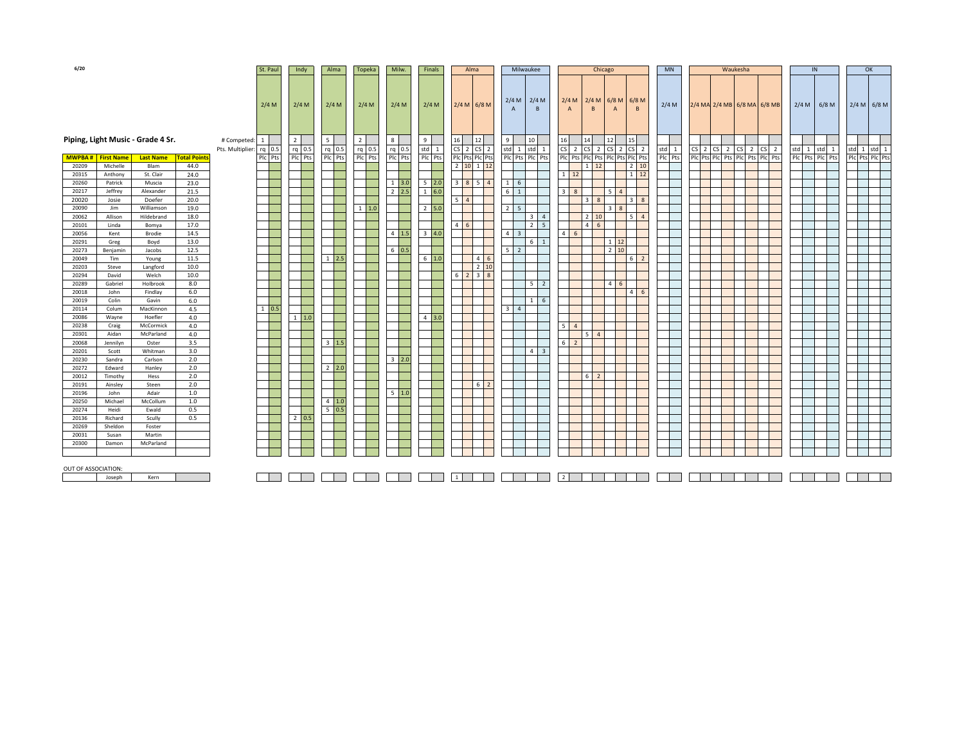| 6/20                |                          |                                   |                     |                                          | St. Paul      | Indy                     | Alma                        |     | Topeka                     | Milw.                             | Finals                    | Alma                        |   | Milwaukee                            | Chicago                                                                                                     |                   | <b>MN</b> | Waukesha                        |                        |                 |       |                 | OK |  |
|---------------------|--------------------------|-----------------------------------|---------------------|------------------------------------------|---------------|--------------------------|-----------------------------|-----|----------------------------|-----------------------------------|---------------------------|-----------------------------|---|--------------------------------------|-------------------------------------------------------------------------------------------------------------|-------------------|-----------|---------------------------------|------------------------|-----------------|-------|-----------------|----|--|
|                     |                          |                                   |                     |                                          | 2/4 M         | 2/4 M                    | 2/4 M                       |     | 2/4 M                      | 2/4 M                             | 2/4 M                     | $2/4 M$ 6/8 M               |   | $2/4$ M<br>$2/4$ M<br>$\overline{B}$ | $2/4 M$ 6/8 M<br>2/4 M<br>B<br>$\overline{A}$                                                               | $6/8$ M<br>B      | 2/4 M     | 2/4 MA 2/4 MB 6/8 MA 6/8 MB     |                        | $2/4 M$ 6/8 M   |       | $2/4 M$ 6/8 M   |    |  |
|                     |                          | Piping, Light Music - Grade 4 Sr. |                     | # Competed: 1<br>Pts. Multiplier: rg 0.5 |               | $\overline{2}$<br>rg 0.5 | $5\overline{ }$<br>$rq$ 0.5 |     | $\overline{2}$<br>$rq$ 0.5 | 8<br>$rq$ 0.5                     | 9<br>std 1                | 16<br>12<br>$CS$ 2 $CS$ 2   | 9 | 10<br>$std$ 1<br>std 1               | 15<br>16<br>14<br>12<br>$\overline{\mathsf{c}}$<br>$2$ CS $2$<br><b>CS</b><br>$2^{\circ}$<br><b>CS</b><br>2 |                   | std 1     | $CS$ 2 $CS$ 2<br><b>CS</b>      | 2 CS<br>$\overline{2}$ | std 1           | std 1 | std 1 std 1     |    |  |
|                     | <b>MWPBA#</b> First Name | <b>Last Name</b>                  | <b>Total Points</b> |                                          | Plc Pts       | Plc Pts                  | Plc Pts                     |     | Plc Pts                    | PIc Pts                           | Plc Pts                   | Plc Pts Plc Pts             |   | Plc Pts Plc Pts                      | Plc Pts Plc Pts<br>Plc Pts Plc Pts                                                                          |                   | Plc Pts   | Plc Pts Plc Pts Plc Pts Plc Pts |                        | Plc Pts Plc Pts |       | Plc Pts Plc Pts |    |  |
| 20209               | Michelle                 | Blam                              | 44.0                |                                          |               |                          |                             |     |                            |                                   |                           | $2 \t10 \t1 \t12$           |   |                                      | $1 \overline{12}$                                                                                           | $2 \quad 10$      |           |                                 |                        |                 |       |                 |    |  |
| 20315               | Anthony                  | St. Clair                         | 24.0                |                                          |               |                          |                             |     |                            |                                   |                           |                             |   |                                      | $1 \quad 12$                                                                                                | $1 \overline{12}$ |           |                                 |                        |                 |       |                 |    |  |
| 20260               | Patrick                  | Muscia                            | 23.0                |                                          |               |                          |                             |     |                            | $1 \overline{\smash{\big)}\ 3.0}$ | $5 \overline{)2.0}$       | 3 8 5 4                     |   | $1 \quad 6$                          |                                                                                                             |                   |           |                                 |                        |                 |       |                 |    |  |
| 20217               | Jeffrey                  | Alexander                         | 21.5                |                                          |               |                          |                             |     |                            | $2 \overline{2.5}$                | $1\overline{6.0}$         |                             |   | $6 \quad 1$                          | $\overline{\mathbf{3}}$<br>$\mathbf{8}$<br>5                                                                |                   |           |                                 |                        |                 |       |                 |    |  |
| 20020               | Josie                    | Doefer                            | 20.0                |                                          |               |                          |                             |     |                            |                                   |                           | 5 <sup>1</sup> 4            |   |                                      | 3<br>8                                                                                                      | $3 \mid 8$        |           |                                 |                        |                 |       |                 |    |  |
| 20090               | Jim                      | Williamson                        | 19.0                |                                          |               |                          |                             |     | $1 \quad 1.0$              |                                   | $2 \quad 5.0$             |                             |   | $2 \mid 5$                           | $\overline{3}$                                                                                              |                   |           |                                 |                        |                 |       |                 |    |  |
| 20062               | Allison                  | Hildebrand                        | 18.0                |                                          |               |                          |                             |     |                            |                                   |                           |                             |   | $3 \mid 4$                           | $2 \mid 10$                                                                                                 | $5 \mid 4$        |           |                                 |                        |                 |       |                 |    |  |
| 20101               | Linda                    | Bomya                             | 17.0                |                                          |               |                          |                             |     |                            |                                   |                           | $4 \overline{6}$            |   | $2 \mid 5$                           | $4 \overline{6}$                                                                                            |                   |           |                                 |                        |                 |       |                 |    |  |
| 20056               | Kent                     | Brodie                            | 14.5                |                                          |               |                          |                             |     |                            | $4 \overline{1.5}$                | $3 \, 4.0$                |                             |   | $4 \mid 3$                           | $\overline{4}$<br>6                                                                                         |                   |           |                                 |                        |                 |       |                 |    |  |
| 20291               | Greg                     | Boyd                              | 13.0                |                                          |               |                          |                             |     |                            |                                   |                           |                             |   | $6 \mid 1$                           | $1 \quad 12$                                                                                                |                   |           |                                 |                        |                 |       |                 |    |  |
| 20273               | Benjamin                 | Jacobs                            | 12.5                |                                          |               |                          |                             |     |                            | $6\,$ 0.5                         |                           |                             |   | $5 \mid 2$                           | $2 \mid 10$                                                                                                 |                   |           |                                 |                        |                 |       |                 |    |  |
| 20049               | Tim                      | Young                             | 11.5                |                                          |               |                          | <sup>1</sup>                | 2.5 |                            |                                   | $6\,1.0$                  | $4 \overline{6}$            |   |                                      |                                                                                                             | $6 \mid 2$        |           |                                 |                        |                 |       |                 |    |  |
| 20203               | Steve                    | Langford                          | 10.0                |                                          |               |                          |                             |     |                            |                                   |                           | $2 \overline{10}$           |   |                                      |                                                                                                             |                   |           |                                 |                        |                 |       |                 |    |  |
| 20294               | David                    | Welch                             | 10.0                |                                          |               |                          |                             |     |                            |                                   |                           | $6 \quad 2 \quad 3 \quad 8$ |   |                                      |                                                                                                             |                   |           |                                 |                        |                 |       |                 |    |  |
| 20289               | Gabriel                  | Holbrook                          | 8.0                 |                                          |               |                          |                             |     |                            |                                   |                           |                             |   | $5 \mid 2$                           | 4 <sub>1</sub><br>6                                                                                         |                   |           |                                 |                        |                 |       |                 |    |  |
| 20018               | John                     | Findlay                           | 6.0                 |                                          |               |                          |                             |     |                            |                                   |                           |                             |   |                                      |                                                                                                             | $4 \mid 6$        |           |                                 |                        |                 |       |                 |    |  |
| 20019               | Colin                    | Gavin                             | 6.0                 |                                          |               |                          |                             |     |                            |                                   |                           |                             |   | $1 \quad 6$                          |                                                                                                             |                   |           |                                 |                        |                 |       |                 |    |  |
| 20114               | Colum                    | MacKinnon                         | 4.5<br>4.0          |                                          | $1 \quad 0.5$ | $1 \quad 1.0$            |                             |     |                            |                                   | $4 \overline{\smash)3.0}$ |                             |   | $3 \mid 4$                           |                                                                                                             |                   |           |                                 |                        |                 |       |                 |    |  |
| 20086               | Wayne                    | Hoefler<br>McCormick              | 4.0                 |                                          |               |                          |                             |     |                            |                                   |                           |                             |   |                                      | 5<br>$\overline{4}$                                                                                         |                   |           |                                 |                        |                 |       |                 |    |  |
| 20238<br>20301      | Craig<br>Aidan           | McParland                         | 4.0                 |                                          |               |                          |                             |     |                            |                                   |                           |                             |   |                                      | 5 <sub>1</sub><br>$\overline{4}$                                                                            |                   |           |                                 |                        |                 |       |                 |    |  |
| 20068               | Jennilyn                 | Oster                             | 3.5                 |                                          |               |                          | $\overline{\mathbf{3}}$     | 1.5 |                            |                                   |                           |                             |   |                                      | 6<br>$\overline{2}$                                                                                         |                   |           |                                 |                        |                 |       |                 |    |  |
| 20201               | Scott                    | Whitman                           | 3.0                 |                                          |               |                          |                             |     |                            |                                   |                           |                             |   | $4 \overline{3}$                     |                                                                                                             |                   |           |                                 |                        |                 |       |                 |    |  |
| 20230               | Sandra                   | Carlson                           | 2.0                 |                                          |               |                          |                             |     |                            | $3 \overline{\smash{\big)}\ 2.0}$ |                           |                             |   |                                      |                                                                                                             |                   |           |                                 |                        |                 |       |                 |    |  |
| 20272               | Edward                   | Hanley                            | 2.0                 |                                          |               |                          | 2                           | 2.0 |                            |                                   |                           |                             |   |                                      |                                                                                                             |                   |           |                                 |                        |                 |       |                 |    |  |
| 20012               | Timothy                  | Hess                              | 2.0                 |                                          |               |                          |                             |     |                            |                                   |                           |                             |   |                                      | 6 <sup>1</sup><br>$\overline{2}$                                                                            |                   |           |                                 |                        |                 |       |                 |    |  |
| 20191               | Ainsley                  | Steen                             | 2.0                 |                                          |               |                          |                             |     |                            |                                   |                           | $\overline{2}$<br>6         |   |                                      |                                                                                                             |                   |           |                                 |                        |                 |       |                 |    |  |
| 20196               | John                     | Adair                             | 1.0                 |                                          |               |                          |                             |     |                            | 1.0<br>5 <sub>1</sub>             |                           |                             |   |                                      |                                                                                                             |                   |           |                                 |                        |                 |       |                 |    |  |
| 20250               | Michael                  | McCollum                          | 1.0                 |                                          |               |                          | $\overline{4}$              | 1.0 |                            |                                   |                           |                             |   |                                      |                                                                                                             |                   |           |                                 |                        |                 |       |                 |    |  |
| 20274               | Heidi                    | Ewald                             | 0.5                 |                                          |               |                          | 5                           | 0.5 |                            |                                   |                           |                             |   |                                      |                                                                                                             |                   |           |                                 |                        |                 |       |                 |    |  |
| 20136               | Richard                  | Scully                            | 0.5                 |                                          |               | $2 \mid 0.5$             |                             |     |                            |                                   |                           |                             |   |                                      |                                                                                                             |                   |           |                                 |                        |                 |       |                 |    |  |
| 20269               | Sheldon                  | Foster                            |                     |                                          |               |                          |                             |     |                            |                                   |                           |                             |   |                                      |                                                                                                             |                   |           |                                 |                        |                 |       |                 |    |  |
| 20031               | Susan                    | Martin                            |                     |                                          |               |                          |                             |     |                            |                                   |                           |                             |   |                                      |                                                                                                             |                   |           |                                 |                        |                 |       |                 |    |  |
| 20300               | Damon                    | McParland                         |                     |                                          |               |                          |                             |     |                            |                                   |                           |                             |   |                                      |                                                                                                             |                   |           |                                 |                        |                 |       |                 |    |  |
|                     |                          |                                   |                     |                                          |               |                          |                             |     |                            |                                   |                           |                             |   |                                      |                                                                                                             |                   |           |                                 |                        |                 |       |                 |    |  |
|                     |                          |                                   |                     |                                          |               |                          |                             |     |                            |                                   |                           |                             |   |                                      |                                                                                                             |                   |           |                                 |                        |                 |       |                 |    |  |
| OUT OF ASSOCIATION: |                          |                                   |                     |                                          |               |                          |                             |     |                            |                                   |                           |                             |   |                                      |                                                                                                             |                   |           |                                 |                        |                 |       |                 |    |  |
|                     | Joseph                   | Kern                              |                     |                                          |               |                          |                             |     |                            |                                   |                           | $\mathbf{1}$                |   |                                      | $\overline{2}$                                                                                              |                   |           |                                 |                        |                 |       |                 |    |  |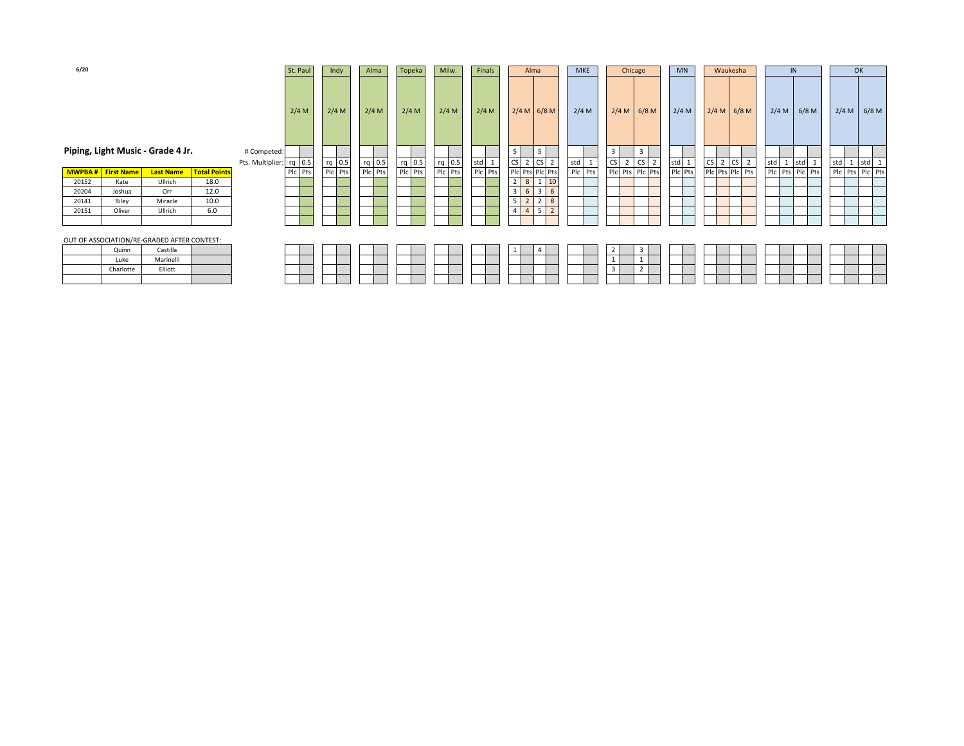| 6/20                     |           |                                             |                     |                         | St. Paul | Indy    | Alma    | Topeka  | Milw.   | Finals  | Alma                                               | <b>MKE</b> | Chicago                               | <b>MN</b> | Waukesha                          | IN                     | OK                       |
|--------------------------|-----------|---------------------------------------------|---------------------|-------------------------|----------|---------|---------|---------|---------|---------|----------------------------------------------------|------------|---------------------------------------|-----------|-----------------------------------|------------------------|--------------------------|
|                          |           |                                             |                     |                         | 2/4 M    | 2/4 M   | 2/4 M   | 2/4 M   | $2/4$ M | 2/4 M   | $2/4 M$ 6/8 M                                      | $2/4$ M    | $2/4 M$ 6/8 M                         | 2/4 M     | $2/4 M$ 6/8 M                     | $2/4 M$ 6/8 M          | $2/4 M$ 6/8 M            |
|                          |           | Piping, Light Music - Grade 4 Jr.           |                     | # Competed:             |          |         |         |         |         |         | 5                                                  |            | 3<br>3                                |           |                                   |                        |                          |
|                          |           |                                             |                     | Pts. Multiplier: rq 0.5 |          | rq 0.5  | rq 0.5  | rq 0.5  | rq 0.5  | std 1   | <b>CS</b><br>2 CS 2                                | std        | CS<br>$2\ \text{CS}$<br>$\mathcal{L}$ | std 1     | <b>CS</b><br>CS <sub>2</sub><br>2 | std<br>std<br><b>T</b> | std 1<br>std<br><b>T</b> |
| <b>MWPBA#</b> First Name |           | <b>Last Name</b>                            | <b>Total Points</b> |                         | Plc Pts  | Plc Pts | Plc Pts | Plc Pts | Plc Pts | Plc Pts | Plc Pts Plc Pts                                    | Plc Pts    | Plc Pts Plc Pts                       | Plc Pts   | Plc Pts Plc Pts                   | Plc Pts Plc Pts        | Plc Pts Plc Pts          |
| 20152                    | Kate      | Ullrich                                     | 18.0                |                         |          |         |         |         |         |         | 2 <sub>1</sub><br>8 1 1 1 1 1 1 1 1 $\frac{10}{2}$ |            |                                       |           |                                   |                        |                          |
| 20204                    | Joshua    | Orr                                         | 12.0                |                         |          |         |         |         |         |         | 3 <sup>1</sup><br>6<br>$3 \mid 6$                  |            |                                       |           |                                   |                        |                          |
| 20141                    | Riley     | Miracle                                     | 10.0                |                         |          |         |         |         |         |         | 5<br>$2 \mid 8$<br>$\overline{2}$                  |            |                                       |           |                                   |                        |                          |
| 20151                    | Oliver    | Ullrich                                     | 6.0                 |                         |          |         |         |         |         |         | $\overline{4}$<br>$\overline{4}$<br>52             |            |                                       |           |                                   |                        |                          |
|                          |           |                                             |                     |                         |          |         |         |         |         |         |                                                    |            |                                       |           |                                   |                        |                          |
|                          |           | OUT OF ASSOCIATION/RE-GRADED AFTER CONTEST: |                     |                         |          |         |         |         |         |         |                                                    |            |                                       |           |                                   |                        |                          |
|                          | Quinn     | Castilla                                    |                     |                         |          |         |         |         |         |         | A                                                  |            | $\overline{2}$<br>3                   |           |                                   |                        |                          |
|                          | Luke      | Marinelli                                   |                     |                         |          |         |         |         |         |         |                                                    |            |                                       |           |                                   |                        |                          |
|                          | Charlotte | Elliott                                     |                     |                         |          |         |         |         |         |         |                                                    |            | $\overline{\mathbf{3}}$               |           |                                   |                        |                          |
|                          |           |                                             |                     |                         |          |         |         |         |         |         |                                                    |            |                                       |           |                                   |                        |                          |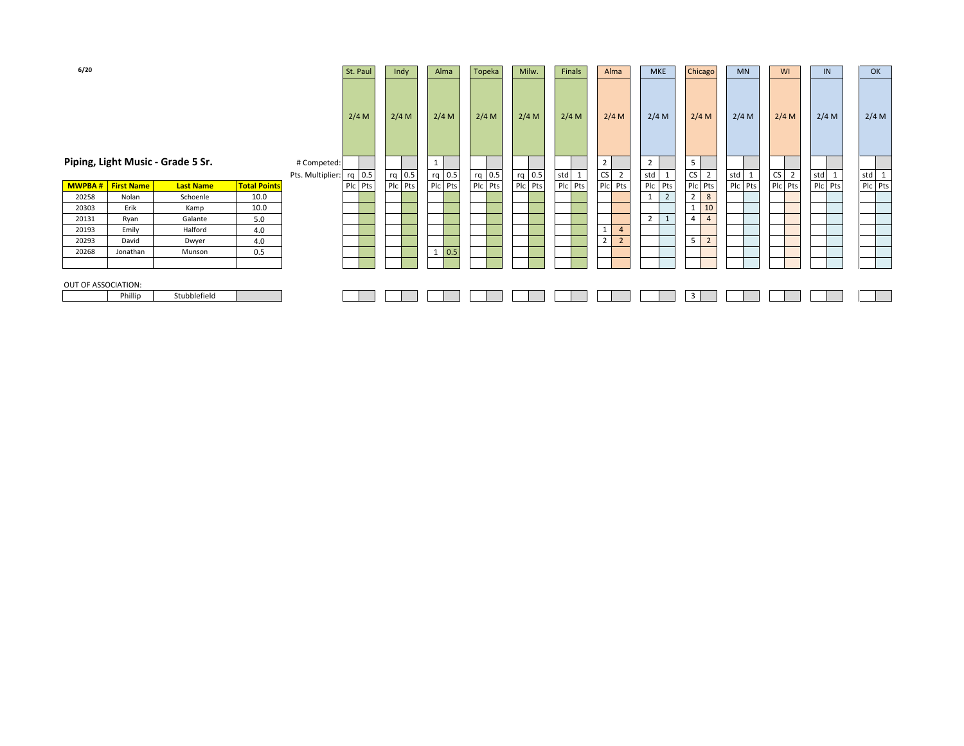| 6/20                |                   |                                   |                     |                                 | St. Paul | Indy    | Alma                | Topeka   | Milw.   | Finals  | Alma                             | <b>MKE</b>          | Chicago             | <b>MN</b> | WI      | IN       | OK                  |
|---------------------|-------------------|-----------------------------------|---------------------|---------------------------------|----------|---------|---------------------|----------|---------|---------|----------------------------------|---------------------|---------------------|-----------|---------|----------|---------------------|
|                     |                   |                                   |                     |                                 | 2/4 M    | 2/4 M   | 2/4 M               | 2/4 M    | 2/4 M   | 2/4 M   | 2/4 M                            | 2/4 M               | 2/4 M               | 2/4 M     | 2/4 M   | 2/4 M    | 2/4 M               |
|                     |                   | Piping, Light Music - Grade 5 Sr. |                     | # Competed:<br>Pts. Multiplier: | rq 0.5   | rq 0.5  | rq 0.5              | $rq$ 0.5 | rq 0.5  | std 1   | $\overline{2}$<br>$CS$ 2         | 2<br>std<br>ᆠ       | 5<br>$CS$ 2         | std 1     | $CS$ 2  | std<br>1 | std<br>$\mathbf{1}$ |
| MWPBA#              | <b>First Name</b> | <b>Last Name</b>                  | <b>Total Points</b> |                                 | Plc Pts  | Plc Pts | Plc Pts             | Plc Pts  | Plc Pts | Plc Pts | Plc Pts                          | Plc Pts             | Plc Pts             | Plc Pts   | Plc Pts | Plc Pts  | Plc Pts             |
| 20258               | Nolan             | Schoenle                          | 10.0                |                                 |          |         |                     |          |         |         |                                  | $\overline{2}$      | $\boldsymbol{8}$    |           |         |          |                     |
| 20303               | Erik              | Kamp                              | 10.0                |                                 |          |         |                     |          |         |         |                                  |                     | $10$                |           |         |          |                     |
| 20131               | Ryan              | Galante                           | 5.0                 |                                 |          |         |                     |          |         |         |                                  | $\overline{2}$<br>ᅩ | $\overline{4}$<br>4 |           |         |          |                     |
| 20193               | Emily             | Halford                           | 4.0                 |                                 |          |         |                     |          |         |         | $\overline{4}$                   |                     |                     |           |         |          |                     |
| 20293               | David             | Dwyer                             | 4.0                 |                                 |          |         |                     |          |         |         | $\overline{2}$<br>$\overline{2}$ |                     | $\overline{2}$      |           |         |          |                     |
| 20268               | Jonathan          | Munson                            | 0.5                 |                                 |          |         | 0.5<br>$\mathbf{1}$ |          |         |         |                                  |                     |                     |           |         |          |                     |
| OUT OF ASSOCIATION: | Phillip           | Stubblefield                      |                     |                                 |          |         |                     |          |         |         |                                  |                     |                     |           |         |          |                     |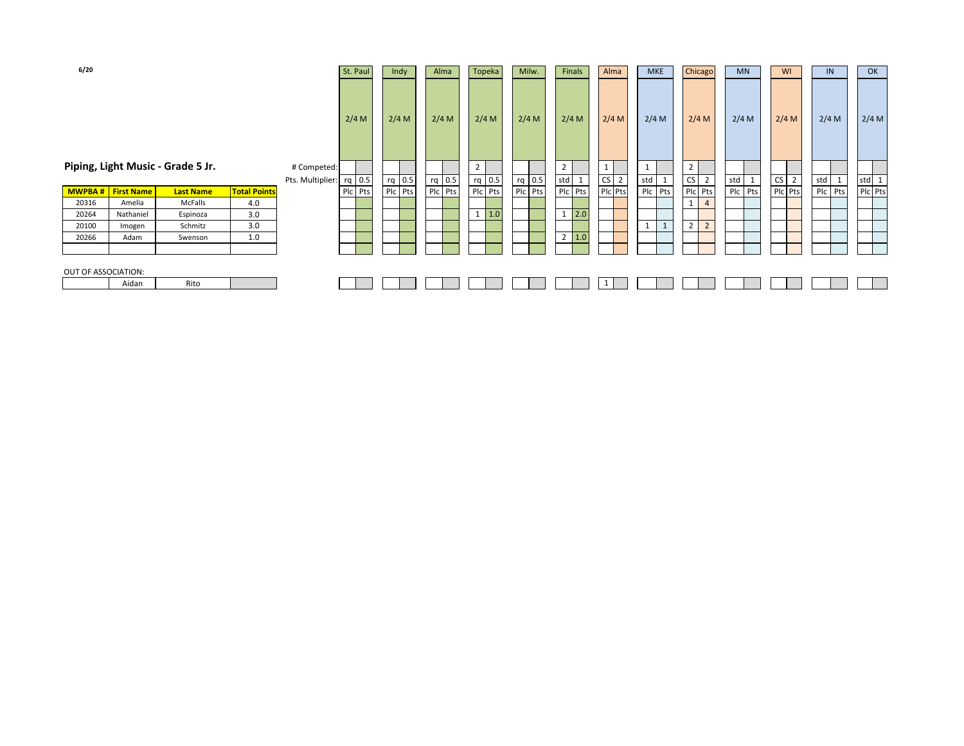| 6/20                |                   |                                   |                     |                         | St. Paul | Indy    | Alma     | Topeka  | Milw.   |                | <b>Finals</b> | Alma    | <b>MKE</b>     | Chicago                          | <b>MN</b> |           | WI             | IN      | OK      |
|---------------------|-------------------|-----------------------------------|---------------------|-------------------------|----------|---------|----------|---------|---------|----------------|---------------|---------|----------------|----------------------------------|-----------|-----------|----------------|---------|---------|
|                     |                   | Piping, Light Music - Grade 5 Jr. |                     | # Competed:             | 2/4 M    | 2/4 M   | 2/4 M    | $2/4$ M | $2/4$ M | $\overline{2}$ | $2/4$ M       | 2/4 M   | $2/4$ M        | 2/4 M<br>2 <sup>1</sup>          | $2/4$ M   |           | 2/4 M          | $2/4$ M | 2/4 M   |
|                     |                   |                                   |                     | Pts. Multiplier: rq 0.5 |          | rq 0.5  | $rq$ 0.5 | rq 0.5  | rq 0.5  | std            | $\mathbf{1}$  | $CS$ 2  | std 1          | $CS$ 2                           | std 1     | <b>CS</b> | $\overline{2}$ | std 1   | std 1   |
| <b>MWPBA#</b>       | <b>First Name</b> | <b>Last Name</b>                  | <b>Total Points</b> |                         | Plc Pts  | Plc Pts | Plc Pts  | Plc Pts | Plc Pts |                | Plc Pts       | Plc Pts | Plc Pts        | Plc Pts                          | Plc Pts   |           | Plc Pts        | Plc Pts | Plc Pts |
| 20316               | Amelia            | McFalls                           | 4.0                 |                         |          |         |          |         |         |                |               |         |                | 1<br>$\overline{4}$              |           |           |                |         |         |
| 20264               | Nathaniel         | Espinoza                          | 3.0                 |                         |          |         |          | 1.0     |         | $1 \mid$       | 2.0           |         |                |                                  |           |           |                |         |         |
| 20100               | Imogen            | Schmitz                           | 3.0                 |                         |          |         |          |         |         |                |               |         | $\overline{1}$ | $\overline{2}$<br>$\overline{2}$ |           |           |                |         |         |
| 20266               | Adam              | Swenson                           | 1.0                 |                         |          |         |          |         |         |                | $2 \mid 1.0$  |         |                |                                  |           |           |                |         |         |
|                     |                   |                                   |                     |                         |          |         |          |         |         |                |               |         |                |                                  |           |           |                |         |         |
| OUT OF ASSOCIATION: |                   |                                   |                     |                         |          |         |          |         |         |                |               |         |                |                                  |           |           |                |         |         |
|                     | Aidan             | Rito                              |                     |                         |          |         |          |         |         |                |               |         |                |                                  |           |           |                |         |         |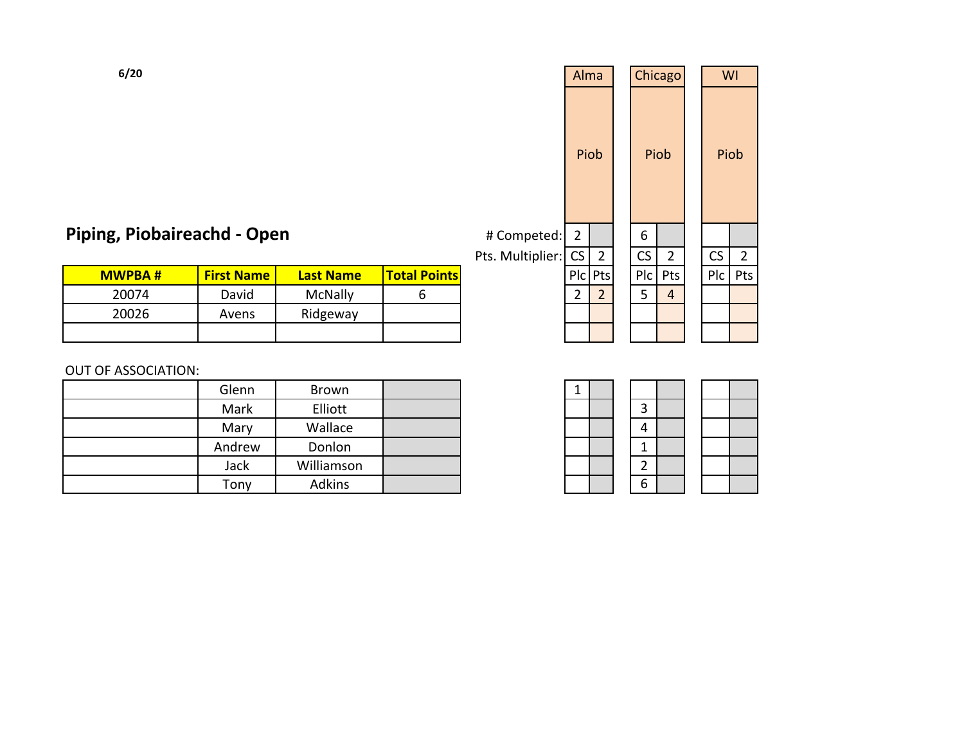|   |                  |                     |                  | Alma           |                |     | Chicago        |     | WI             |
|---|------------------|---------------------|------------------|----------------|----------------|-----|----------------|-----|----------------|
|   |                  |                     |                  |                | Piob           |     | Piob           |     | Piob           |
|   | ວen              |                     | # Competed:      | $\overline{2}$ |                | 6   |                |     |                |
|   |                  |                     | Pts. Multiplier: | CS             | $\overline{2}$ | CS  | $\overline{2}$ | CS  | $\overline{2}$ |
| ė | <b>Last Name</b> | <b>Total Points</b> |                  | P C            | Pts            | Plc | Pts            | Plc | Pts            |
|   | McNally          | 6                   |                  | $\overline{2}$ | 2 <sup>2</sup> | 5   | $\overline{4}$ |     |                |
|   | Ridgeway         |                     |                  |                |                |     |                |     |                |
|   |                  |                     |                  |                |                |     |                |     |                |

|   |           | Piob           |
|---|-----------|----------------|
|   |           |                |
|   | <b>CS</b> | $\overline{2}$ |
| ; | Plc       | Pts            |
|   |           |                |
|   |           |                |
|   |           |                |
|   |           |                |

|               |                   |                  |                     | ו נט. וטועונוטווכו .ן | ັບ | ∸       | ັ   |      |
|---------------|-------------------|------------------|---------------------|-----------------------|----|---------|-----|------|
| <b>MWPBA#</b> | <b>First Name</b> | <b>Last Name</b> | <b>Total Points</b> |                       |    | Pic Pts | Plc | l Pt |
| 20074         | David             | McNally          |                     |                       |    |         |     | Δ    |
| 20026         | Avens             | Ridgeway         |                     |                       |    |         |     |      |
|               |                   |                  |                     |                       |    |         |     |      |

## OUT OF ASSOCIATION:

Piping, Piobaireachd - Open

| Glenn  | Brown      |  | ᅩ |  |                |
|--------|------------|--|---|--|----------------|
| Mark   | Elliott    |  |   |  | 3              |
| Mary   | Wallace    |  |   |  | 4              |
| Andrew | Donlon     |  |   |  |                |
| Jack   | Williamson |  |   |  | $\overline{2}$ |
| Tony   | Adkins     |  |   |  | 6              |

| $\mathbf 1$ |  |                          |  |
|-------------|--|--------------------------|--|
|             |  | 3                        |  |
|             |  | $\overline{\mathcal{L}}$ |  |
|             |  | $\mathbf{1}$             |  |
|             |  | $\overline{2}$           |  |
|             |  |                          |  |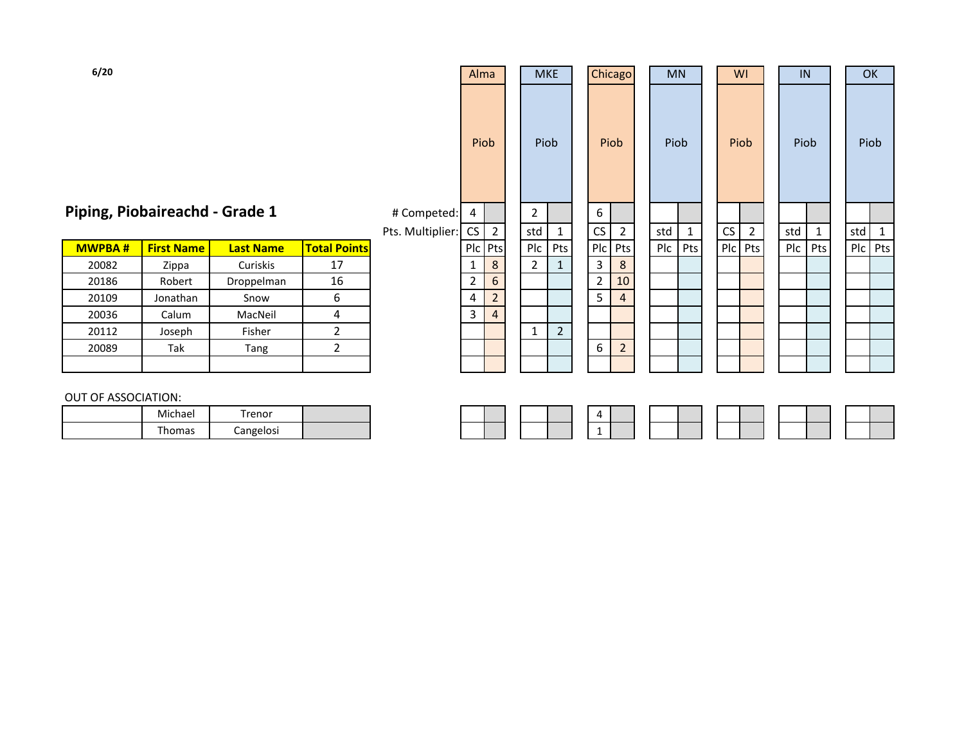| Piping, Piobaireachd - Grade 1 | # Competed: $4$ |  |  |  |  |  |  |  |
|--------------------------------|-----------------|--|--|--|--|--|--|--|
|--------------------------------|-----------------|--|--|--|--|--|--|--|

| <b>MWPBA#</b> | <b>First Name</b> | <b>Last Name</b> | <b>Total Points</b> | P <sub>c</sub> | Pts            | Plc | Pts           | Plc | l Pts          |
|---------------|-------------------|------------------|---------------------|----------------|----------------|-----|---------------|-----|----------------|
| 20082         | Zippa             | Curiskis         | 17                  | 1              | 8              | 2   |               | ำ   | 8              |
| 20186         | Robert            | Droppelman       | 16                  |                | 6              |     |               |     | 10             |
| 20109         | Jonathan          | Snow             | 6                   | 4              |                |     |               |     | $\overline{4}$ |
| 20036         | Calum             | MacNeil          | 4                   | 3              | $\overline{4}$ |     |               |     |                |
| 20112         | Joseph            | Fisher           |                     |                |                |     | $\mathcal{P}$ |     |                |
| 20089         | Tak               | Tang             |                     |                |                |     |               | 6   | $\overline{2}$ |
|               |                   |                  |                     |                |                |     |               |     |                |

| 6/20               |                               |                  |                     |                                 | Alma<br>Piob   |                | <b>MKE</b><br>Piob    |                | Chicago<br>Piob     |                               |     | <b>MN</b><br>Piob | WI<br>Piob |                | IN<br>Piob |             | OK<br>Piob |              |
|--------------------|-------------------------------|------------------|---------------------|---------------------------------|----------------|----------------|-----------------------|----------------|---------------------|-------------------------------|-----|-------------------|------------|----------------|------------|-------------|------------|--------------|
|                    | iping, Piobaireachd - Grade 1 |                  |                     | # Competed:<br>Pts. Multiplier: | 4<br>CS        | $\overline{2}$ | $\overline{2}$<br>std | $\mathbf{1}$   | 6<br>CS             | $\overline{2}$                | std | $\mathbf{1}$      | CS         | $\overline{2}$ | std        | $\mathbf 1$ | std        | $\mathbf{1}$ |
| <b>MWPBA#</b>      | <b>First Name</b>             | <b>Last Name</b> | <b>Total Points</b> |                                 |                | Plc Pts        | Plc                   | Pts            |                     | Plc Pts                       | Plc | Pts               | Plc        | Pts            | P C        | Pts         | Plc Pts    |              |
| 20082              | Zippa                         | Curiskis         | 17                  |                                 | $\mathbf{1}$   | 8<br>$6\,$     | $\overline{2}$        | $\mathbf{1}$   | $\mathbf{3}$        | 8                             |     |                   |            |                |            |             |            |              |
| 20186              | Robert                        | Droppelman       | 16                  |                                 | $\overline{2}$ |                |                       |                | $\overline{2}$<br>5 | 10<br>$\overline{\mathbf{r}}$ |     |                   |            |                |            |             |            |              |
| 20109              | Jonathan                      | Snow             | 6                   |                                 | 4              | $\overline{2}$ |                       |                |                     |                               |     |                   |            |                |            |             |            |              |
| 20036              | Calum                         | MacNeil          | 4                   |                                 | $\overline{3}$ | $\overline{4}$ |                       |                |                     |                               |     |                   |            |                |            |             |            |              |
| 20112              | Joseph                        | Fisher           | $\overline{c}$      |                                 |                |                | $\mathbf{1}$          | $\overline{2}$ |                     |                               |     |                   |            |                |            |             |            |              |
| 20089              | Tak                           | Tang             | $\overline{2}$      |                                 |                |                |                       |                | 6                   | $\overline{2}$                |     |                   |            |                |            |             |            |              |
|                    |                               |                  |                     |                                 |                |                |                       |                |                     |                               |     |                   |            |                |            |             |            |              |
| JT OF ASSOCIATION: |                               |                  |                     |                                 |                |                |                       |                |                     |                               |     |                   |            |                |            |             |            |              |
|                    | Michael                       | Trenor           |                     |                                 |                |                |                       |                | 4                   |                               |     |                   |            |                |            |             |            |              |

#### OUT OF ASSOCIATION:

|  |  |  |  | 4 |  |  |  |  |  |
|--|--|--|--|---|--|--|--|--|--|
|  |  |  |  | 1 |  |  |  |  |  |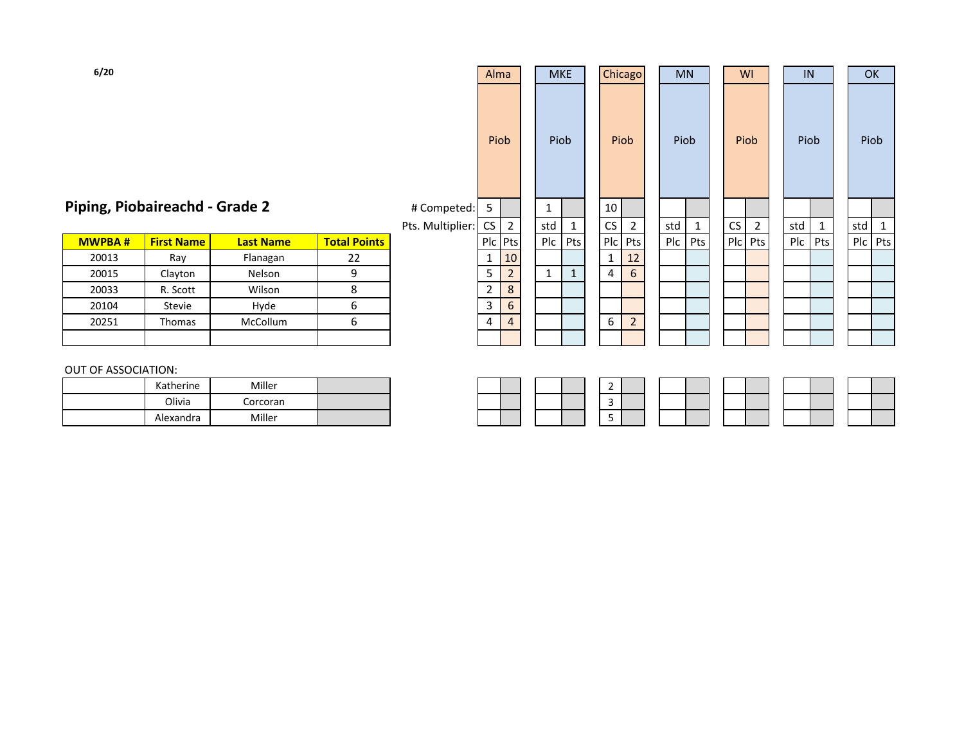# Piping, Piobaireachd - Grade 2

| # Competed: | 5 |
|-------------|---|
|             |   |

| <b>MWPBA#</b> |       | <b>First Name</b> | <b>Last Name</b> | <b>Total Points</b> |
|---------------|-------|-------------------|------------------|---------------------|
|               | 20013 | Ray               | Flanagan         | 22                  |
|               | 20015 | Clayton           | Nelson           |                     |
|               | 20033 | R. Scott          | Wilson           |                     |
|               | 20104 | Stevie            | Hyde             | o                   |
|               | 20251 | Thomas            | McCollum         |                     |
|               |       |                   |                  |                     |

| 6/20          |                              |                  |                     |                  | Alma           |                |              | <b>MKE</b>   | Chicago         |                | <b>MN</b> |              |                | <b>WI</b>      | IN   |              | OK      |    |
|---------------|------------------------------|------------------|---------------------|------------------|----------------|----------------|--------------|--------------|-----------------|----------------|-----------|--------------|----------------|----------------|------|--------------|---------|----|
|               |                              |                  |                     |                  |                | Piob           |              | Piob         | Piob            |                | Piob      |              |                | Piob           | Piob |              | Piob    |    |
|               | ping, Piobaireachd - Grade 2 |                  |                     | # Competed:      | 5              |                | 1            |              | 10 <sup>1</sup> |                |           |              |                |                |      |              |         |    |
|               |                              |                  |                     | Pts. Multiplier: | <b>CS</b>      | $\overline{2}$ | std          | $\mathbf{1}$ | CS              | $\overline{2}$ | std       | $\mathbf{1}$ | CS             | $\overline{2}$ | std  | $\mathbf{1}$ | std     | -1 |
| <b>MWPBA#</b> | <b>First Name</b>            | <b>Last Name</b> | <b>Total Points</b> |                  |                | Plc Pts        | Plc          | Pts          | Plc Pts         |                | Plc       | Pts          | P <sub>c</sub> | Pts            | Pic  | Pts          | Plc Pts |    |
| 20013         | Ray                          | Flanagan         | 22                  |                  | 1              | 10             |              |              | 1               | 12             |           |              |                |                |      |              |         |    |
| 20015         | Clayton                      | Nelson           | 9                   |                  | 5              | $\overline{2}$ | $\mathbf{1}$ | $\mathbf{1}$ | 4               | $6\phantom{1}$ |           |              |                |                |      |              |         |    |
| 20033         | R. Scott                     | Wilson           | 8                   |                  | $\overline{2}$ | $\,8\,$        |              |              |                 |                |           |              |                |                |      |              |         |    |
| 20104         | Stevie                       | Hyde             | 6                   |                  | 3              | $6\phantom{1}$ |              |              |                 |                |           |              |                |                |      |              |         |    |
| 20251         | Thomas                       | McCollum         | 6                   |                  | 4              | $\overline{4}$ |              |              | 6               | $\overline{2}$ |           |              |                |                |      |              |         |    |
|               |                              |                  |                     |                  |                |                |              |              |                 |                |           |              |                |                |      |              |         |    |
|               |                              |                  |                     |                  |                |                |              |              |                 |                |           |              |                |                |      |              |         |    |

#### OUT OF ASSOCIATION: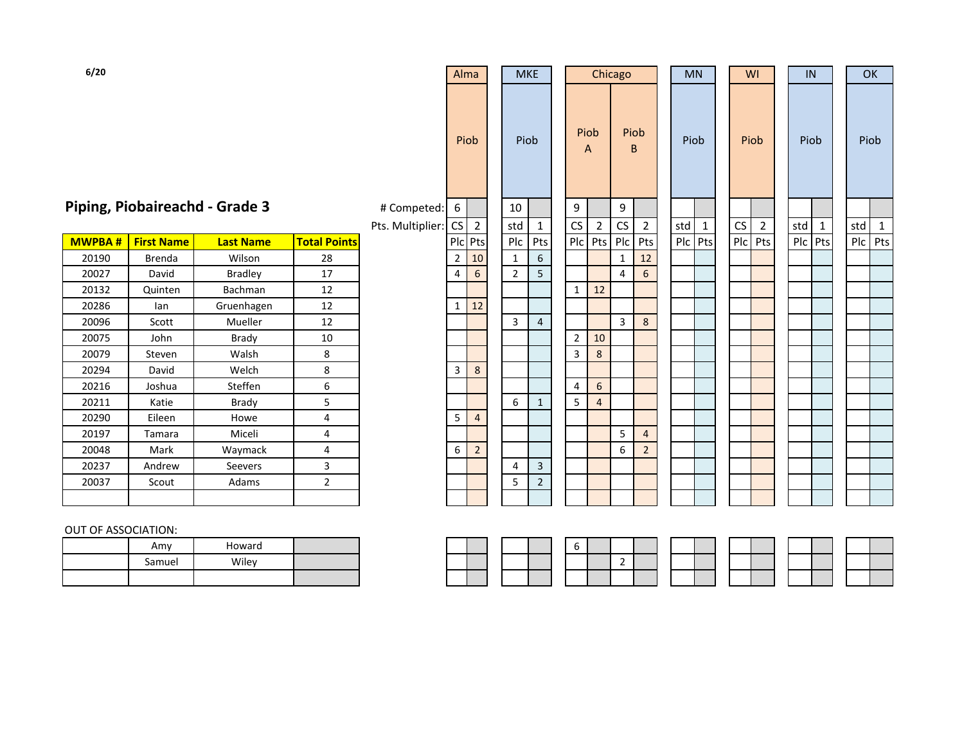# **Piping, Piobaireachd - Grade 3** # C

| <b>MWPBA#</b> | <b>First Name</b> | <b>Last Name</b> | <b>Total Points</b> |
|---------------|-------------------|------------------|---------------------|
| 20190         | Brenda            | Wilson           | 28                  |
| 20027         | David             | <b>Bradley</b>   | 17                  |
| 20132         | Quinten           | <b>Bachman</b>   | 12                  |
| 20286         | lan               | Gruenhagen       | 12                  |
| 20096         | Scott             | <b>Mueller</b>   | 12                  |
| 20075         | John              | Brady            | 10                  |
| 20079         | Steven            | Walsh            | 8                   |
| 20294         | David             | Welch            | 8                   |
| 20216         | Joshua            | Steffen          | 6                   |
| 20211         | Katie             | Brady            | 5                   |
| 20290         | Eileen            | Howe             | 4                   |
| 20197         | Tamara            | Miceli           | 4                   |
| 20048         | Mark              | Waymack          | 4                   |
| 20237         | Andrew            | Seevers          | 3                   |
| 20037         | Scout             | Adams            | 2                   |
|               |                   |                  |                     |

| 6/20                             |                   |                               |                     |                  | Alma           |                | <b>MKE</b>     |                |                | Chicago          |                      |                | <b>MN</b> |              |            | WI             | IN      |              | OK      |              |
|----------------------------------|-------------------|-------------------------------|---------------------|------------------|----------------|----------------|----------------|----------------|----------------|------------------|----------------------|----------------|-----------|--------------|------------|----------------|---------|--------------|---------|--------------|
|                                  |                   |                               |                     |                  |                | Piob           | Piob           |                | Piob<br>A      |                  | Piob<br>B            |                | Piob      |              |            | Piob           | Piob    |              | Piob    |              |
|                                  |                   | iping, Piobaireachd - Grade 3 |                     | # Competed:      | 6              |                | 10             |                | 9              |                  | 9                    |                |           |              |            |                |         |              |         |              |
|                                  |                   |                               |                     | Pts. Multiplier: | CS             | $\overline{2}$ | std            | $\mathbf{1}$   | CS             | $\overline{2}$   | $\mathsf{CS}\xspace$ | $\overline{2}$ | std       | $\mathbf{1}$ | ${\sf CS}$ | $\overline{2}$ | std     | $\mathbf{1}$ | std     | $\mathbf{1}$ |
| MWPBA #                          | <b>First Name</b> | <b>Last Name</b>              | <b>Total Points</b> |                  |                | Plc Pts        | Plc            | Pts            | Plc            | Pts              | Plc                  | Pts            | Plc Pts   |              | Plc        | Pts            | Plc Pts |              | Plc Pts |              |
| 20190                            | <b>Brenda</b>     | Wilson                        | 28                  |                  | $\overline{2}$ | 10             | $\mathbf{1}$   | 6              |                |                  | $\mathbf{1}$         | 12             |           |              |            |                |         |              |         |              |
| 20027                            | David             | <b>Bradley</b>                | 17                  |                  | $\overline{4}$ | 6              | $\overline{2}$ | 5              |                |                  | $\overline{4}$       | $6\phantom{a}$ |           |              |            |                |         |              |         |              |
| 20132                            | Quinten           | Bachman                       | 12                  |                  |                |                |                |                | $\mathbf{1}$   | 12               |                      |                |           |              |            |                |         |              |         |              |
| 20286                            | lan               | Gruenhagen                    | 12                  |                  | $\mathbf{1}$   | 12             |                |                |                |                  |                      |                |           |              |            |                |         |              |         |              |
| 20096                            | Scott             | Mueller                       | 12                  |                  |                |                | $\mathbf{3}$   | $\overline{4}$ |                |                  | $\overline{3}$       | $\bf 8$        |           |              |            |                |         |              |         |              |
| 20075                            | John              | <b>Brady</b>                  | 10                  |                  |                |                |                |                | $\overline{2}$ | 10               |                      |                |           |              |            |                |         |              |         |              |
| 20079                            | Steven            | Walsh                         | 8                   |                  |                |                |                |                | 3              | 8                |                      |                |           |              |            |                |         |              |         |              |
| 20294                            | David             | Welch                         | 8                   |                  | 3              | $\bf 8$        |                |                |                |                  |                      |                |           |              |            |                |         |              |         |              |
| 20216                            | Joshua            | Steffen                       | 6                   |                  |                |                |                |                | 4              | $\boldsymbol{6}$ |                      |                |           |              |            |                |         |              |         |              |
| 20211                            | Katie             | <b>Brady</b>                  | 5                   |                  |                |                | 6              | $\mathbf{1}$   | 5              | $\overline{4}$   |                      |                |           |              |            |                |         |              |         |              |
| 20290                            | Eileen            | Howe                          | 4                   |                  | 5              | $\overline{4}$ |                |                |                |                  |                      |                |           |              |            |                |         |              |         |              |
| 20197                            | Tamara            | Miceli                        | 4                   |                  |                |                |                |                |                |                  | 5                    | $\overline{4}$ |           |              |            |                |         |              |         |              |
| 20048                            | Mark              | Waymack                       | 4                   |                  | 6              | $\overline{2}$ |                |                |                |                  | 6                    | $\overline{2}$ |           |              |            |                |         |              |         |              |
| 20237                            | Andrew            | Seevers                       | 3                   |                  |                |                | 4              | 3              |                |                  |                      |                |           |              |            |                |         |              |         |              |
| 20037                            | Scout             | Adams                         | $\overline{2}$      |                  |                |                | 5              | $\overline{2}$ |                |                  |                      |                |           |              |            |                |         |              |         |              |
|                                  |                   |                               |                     |                  |                |                |                |                |                |                  |                      |                |           |              |            |                |         |              |         |              |
| ILIT OF ASSOCIATION <sup>.</sup> |                   |                               |                     |                  |                |                |                |                |                |                  |                      |                |           |              |            |                |         |              |         |              |

#### OUT OF ASSOCIATION:

| Amy    | Howard |  |  |  |  | - |                          |
|--------|--------|--|--|--|--|---|--------------------------|
| Samuel | Wiley  |  |  |  |  |   | $\overline{\phantom{a}}$ |
|        |        |  |  |  |  |   |                          |

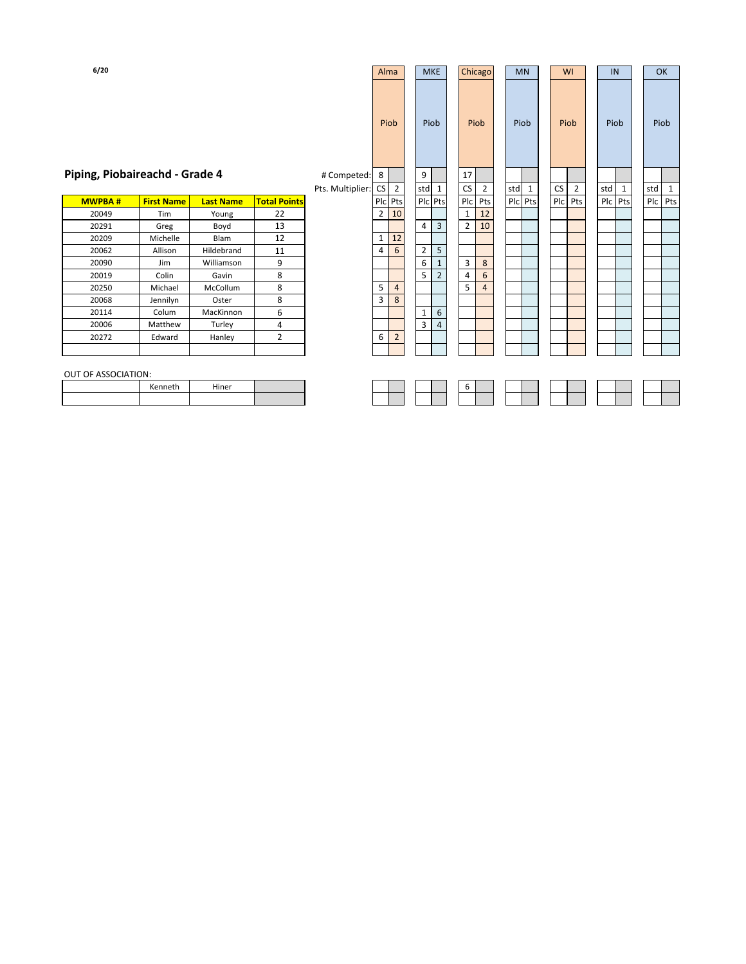| 6/20 |  |  |
|------|--|--|
|      |  |  |

| 6/20                           |                   |                  |                     |                  | Alma           |                |                | <b>MKE</b>              | Chicago        |                | <b>MN</b> |         |    | WI             | IN      |   | OK      |   |
|--------------------------------|-------------------|------------------|---------------------|------------------|----------------|----------------|----------------|-------------------------|----------------|----------------|-----------|---------|----|----------------|---------|---|---------|---|
|                                |                   |                  |                     |                  | Piob           |                |                | Piob                    | Piob           |                |           | Piob    |    | Piob           | Piob    |   | Piob    |   |
| Piping, Piobaireachd - Grade 4 |                   |                  |                     | # Competed: 8    |                |                | 9              |                         | 17             |                |           |         |    |                |         |   |         |   |
|                                |                   |                  |                     | Pts. Multiplier: | CS             | $\overline{2}$ |                | std 1                   | CS I           | $\overline{2}$ | std       | 1       | CS | $\overline{2}$ | std     | 1 | std     | 1 |
| <b>MWPBA#</b>                  | <b>First Name</b> | <b>Last Name</b> | <b>Total Points</b> |                  | Plc Pts        |                |                | Plc Pts                 | Plc Pts        |                |           | Plc Pts |    | Plc Pts        | Plc Pts |   | Plc Pts |   |
| 20049                          | Tim               | Young            | 22                  |                  | $\overline{2}$ | 10             |                |                         | 1              | 12             |           |         |    |                |         |   |         |   |
| 20291                          | Greg              | Boyd             | 13                  |                  |                |                | 4              | $\overline{\mathbf{3}}$ | $2^{\circ}$    | 10             |           |         |    |                |         |   |         |   |
| 20209                          | Michelle          | Blam             | 12                  |                  | $\mathbf{1}$   | 12             |                |                         |                |                |           |         |    |                |         |   |         |   |
| 20062                          | Allison           | Hildebrand       | 11                  |                  | 4              | $6\phantom{1}$ | $\overline{2}$ | 5                       |                |                |           |         |    |                |         |   |         |   |
| 20090                          | Jim               | Williamson       | 9                   |                  |                |                | 6              | $\mathbf{1}$            | $\overline{3}$ | 8              |           |         |    |                |         |   |         |   |
| 20019                          | Colin             | Gavin            | 8                   |                  |                |                | 5              | $\overline{2}$          | 4              | 6              |           |         |    |                |         |   |         |   |
| 20250                          | Michael           | McCollum         | 8                   |                  | 5              | $\sqrt{4}$     |                |                         | 5 <sup>1</sup> | $\overline{4}$ |           |         |    |                |         |   |         |   |
| 20068                          | Jennilyn          | Oster            | 8                   |                  | 3              | 8              |                |                         |                |                |           |         |    |                |         |   |         |   |
| 20114                          | Colum             | MacKinnon        | 6                   |                  |                |                | 1              | 6                       |                |                |           |         |    |                |         |   |         |   |
| 20006                          | Matthew           | Turley           | 4                   |                  |                |                | 3              | $\overline{4}$          |                |                |           |         |    |                |         |   |         |   |
| 20272                          | Edward            | Hanley           | $\overline{2}$      |                  | 6              | $\overline{2}$ |                |                         |                |                |           |         |    |                |         |   |         |   |
|                                |                   |                  |                     |                  |                |                |                |                         |                |                |           |         |    |                |         |   |         |   |
| OUT OF ASSOCIATION:            |                   |                  |                     |                  |                |                |                |                         |                |                |           |         |    |                |         |   |         |   |
|                                | Kenneth           | Hiner            |                     |                  |                |                |                |                         | 6              |                |           |         |    |                |         |   |         |   |
|                                |                   |                  |                     |                  |                |                |                |                         |                |                |           |         |    |                |         |   |         |   |
|                                |                   |                  |                     |                  |                |                |                |                         |                |                |           |         |    |                |         |   |         |   |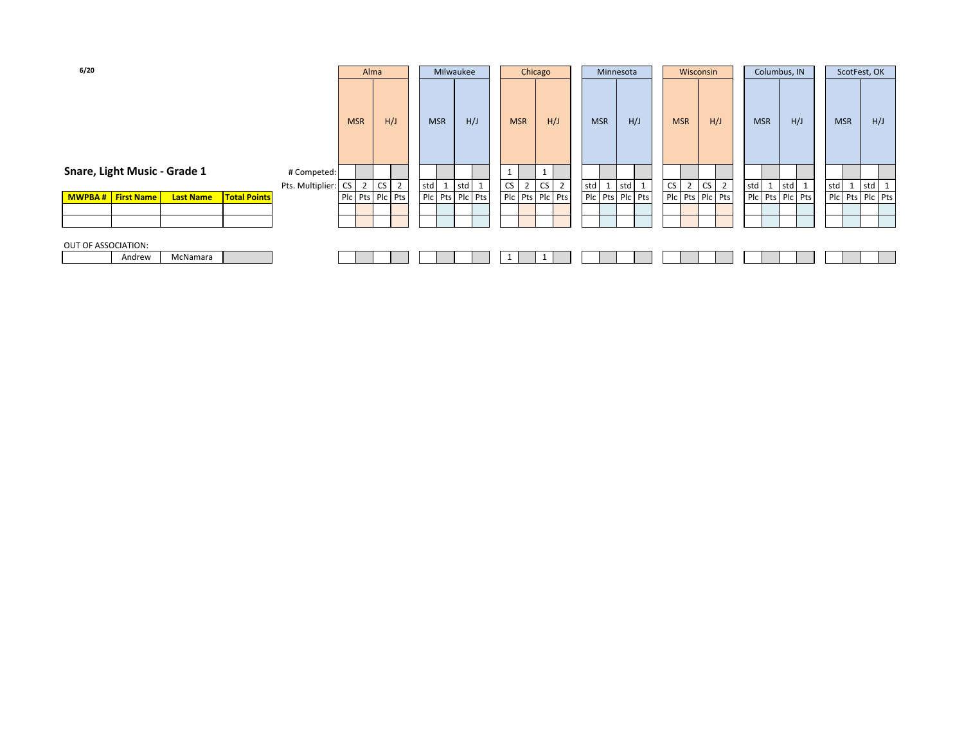| 6/20                                                                |                        | Alma           |                             | Milwaukee                                                                                  |     |     |            | Chicago        |                 |                |                     | Minnesota |     |           |                | Wisconsin |                 |            |    | Columbus, IN    |   |     | ScotFest, OK                                                                        |     |                 |
|---------------------------------------------------------------------|------------------------|----------------|-----------------------------|--------------------------------------------------------------------------------------------|-----|-----|------------|----------------|-----------------|----------------|---------------------|-----------|-----|-----------|----------------|-----------|-----------------|------------|----|-----------------|---|-----|-------------------------------------------------------------------------------------|-----|-----------------|
|                                                                     |                        | <b>MSR</b>     | H/J                         | <b>MSR</b>                                                                                 |     | H/J | <b>MSR</b> |                | H/J             |                | <b>MSR</b>          |           | H/J |           | <b>MSR</b>     |           | H/J             | <b>MSR</b> |    | H/J             |   |     | <b>MSR</b>                                                                          |     | H/J             |
| Snare, Light Music - Grade 1                                        | # Competed:            |                |                             |                                                                                            |     |     | ᅩ          |                | 1               |                |                     |           |     |           |                |           |                 |            |    |                 |   |     |                                                                                     |     |                 |
|                                                                     | Pts. Multiplier:<br>CS | $\overline{2}$ | $\overline{2}$<br><b>CS</b> | std<br>$\mathbf{\mathbf{\mathbf{\mathbf{\mathbf{\mathbf{\mathbf{\mathbf{\mathbf{I}}}}}}}}$ | std |     | CS         | $\overline{2}$ | <b>CS</b>       | $\overline{2}$ | std<br>$\mathbf{I}$ | std       |     | <b>CS</b> | $\overline{2}$ | CS        | $\overline{2}$  | std        | -1 | std             | ᆠ | std | $\mathbf{\mathbf{\mathbf{\mathbf{\mathbf{\mathbf{\mathbf{\mathbf{\mathbf{1}}}}}}}}$ | std | 1               |
| <b>Total Points</b><br><b>MWPBA#</b> First Name<br><b>Last Name</b> |                        |                | Plc Pts Plc Pts             | Plc Pts Plc Pts                                                                            |     |     |            |                | Plc Pts Plc Pts |                | Plc Pts Plc Pts     |           |     |           |                |           | Pic Pts Pic Pts |            |    | Plc Pts Plc Pts |   |     |                                                                                     |     | Plc Pts Plc Pts |
|                                                                     |                        |                |                             |                                                                                            |     |     |            |                |                 |                |                     |           |     |           |                |           |                 |            |    |                 |   |     |                                                                                     |     |                 |
|                                                                     |                        |                |                             |                                                                                            |     |     |            |                |                 |                |                     |           |     |           |                |           |                 |            |    |                 |   |     |                                                                                     |     |                 |
|                                                                     |                        |                |                             |                                                                                            |     |     |            |                |                 |                |                     |           |     |           |                |           |                 |            |    |                 |   |     |                                                                                     |     |                 |
| OUT OF ASSOCIATION:                                                 |                        |                |                             |                                                                                            |     |     |            |                |                 |                |                     |           |     |           |                |           |                 |            |    |                 |   |     |                                                                                     |     |                 |
| McNamara<br>Andrew                                                  |                        |                |                             |                                                                                            |     |     |            |                |                 |                |                     |           |     |           |                |           |                 |            |    |                 |   |     |                                                                                     |     |                 |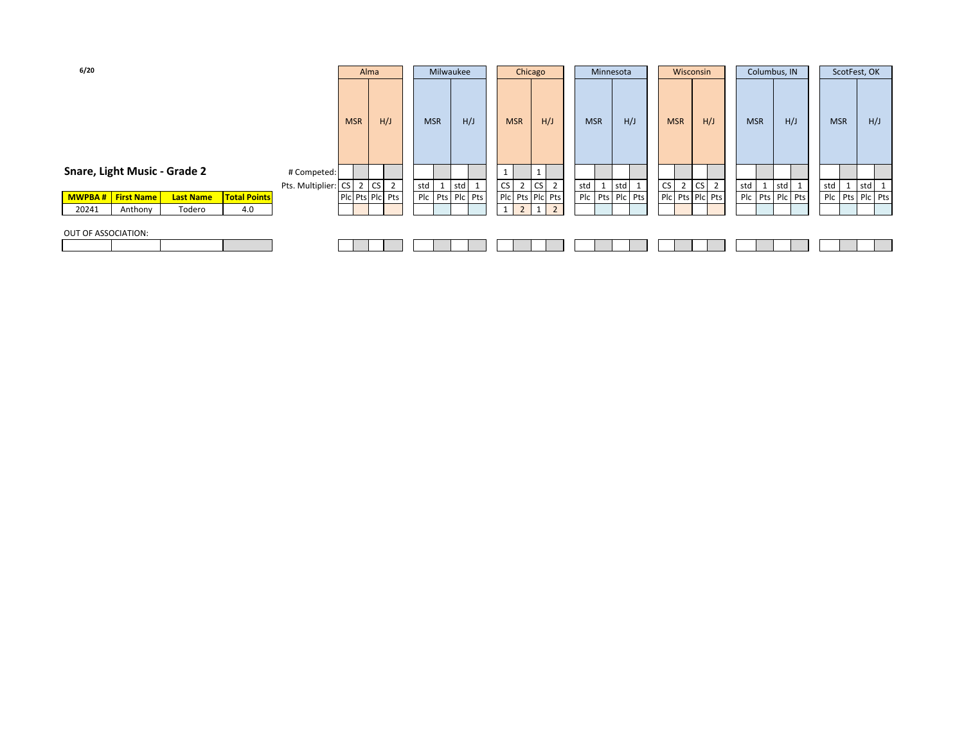| 6/20                |                              |                  |                     |                     |            | Alma            |            | Milwaukee       |   |                          | Chicago                          |            | Minnesota |                 |    | Wisconsin       |    |                | Columbus, IN    |     |     |                 | ScotFest, OK |       |  |
|---------------------|------------------------------|------------------|---------------------|---------------------|------------|-----------------|------------|-----------------|---|--------------------------|----------------------------------|------------|-----------|-----------------|----|-----------------|----|----------------|-----------------|-----|-----|-----------------|--------------|-------|--|
|                     |                              |                  |                     |                     | <b>MSR</b> | H/J             | <b>MSR</b> | H/J             |   | <b>MSR</b>               | H/J                              | <b>MSR</b> |           | H/J             |    | <b>MSR</b>      |    | H/J            | <b>MSR</b>      |     | H/J | <b>MSR</b>      |              | H/J   |  |
|                     | Snare, Light Music - Grade 2 |                  |                     | # Competed:         |            |                 |            |                 |   |                          |                                  |            |           |                 |    |                 |    |                |                 |     |     |                 |              |       |  |
|                     |                              |                  |                     | Pts. Multiplier: CS |            | 2 CS 2          | std        | std 1           |   | CS<br>$\mathcal{L}$<br>∠ | CS<br>$\overline{2}$             | std        |           | std             | CS | 2               | CS | $\overline{2}$ | std             | std | 1   | std             |              | std 1 |  |
| <b>MWPBA#</b>       | <b>First Name</b>            | <b>Last Name</b> | <b>Total Points</b> |                     |            | Pic Pts Pic Pts |            | Plc Pts Plc Pts |   |                          | Pic Pts Pic Pts                  |            |           | Plc Pts Plc Pts |    | Plc Pts Plc Pts |    |                | Plc Pts Plc Pts |     |     | Plc Pts Plc Pts |              |       |  |
| 20241               | Anthony                      | Todero           | 4.0                 |                     |            |                 |            |                 | 1 | $\overline{2}$           | $\overline{2}$<br>1 <sup>1</sup> |            |           |                 |    |                 |    |                |                 |     |     |                 |              |       |  |
| OUT OF ASSOCIATION: |                              |                  |                     |                     |            |                 |            |                 |   |                          |                                  |            |           |                 |    |                 |    |                |                 |     |     |                 |              |       |  |
|                     |                              |                  |                     |                     |            |                 |            |                 |   |                          |                                  |            |           |                 |    |                 |    |                |                 |     |     |                 |              |       |  |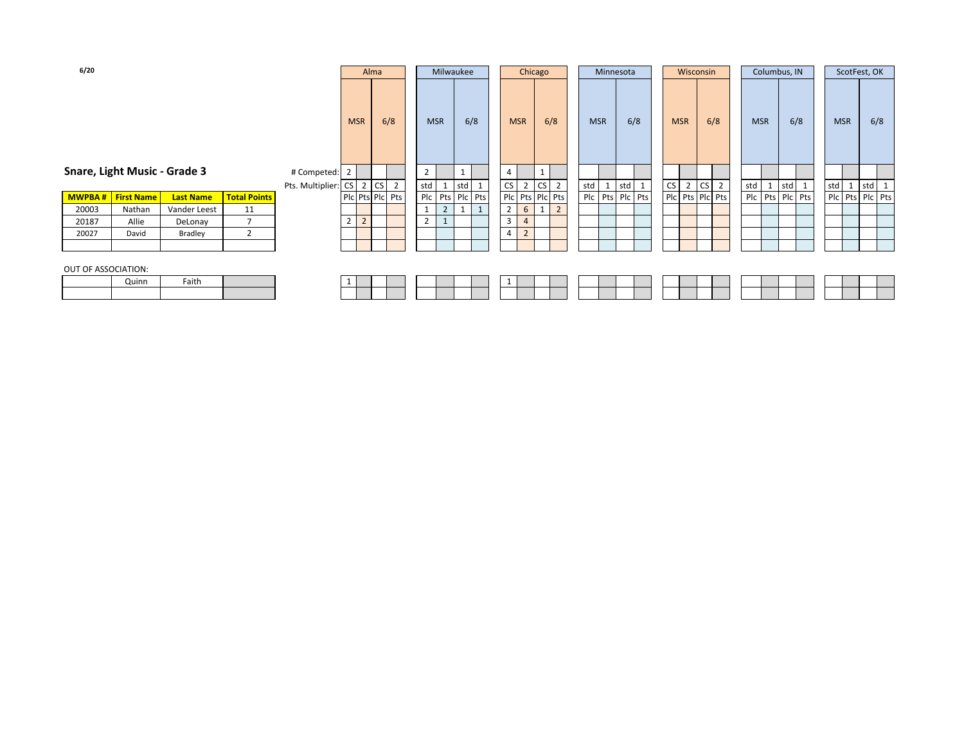| 6/20                         |                   |                  |                     |                     |                                  | Alma            |                 | Milwaukee      |       |   |                | Chicago        |                 |                |            | Minnesota       |     |    | Wisconsin       |    |     |     |            | Columbus, IN |                 | ScotFest, OK    |     |         |
|------------------------------|-------------------|------------------|---------------------|---------------------|----------------------------------|-----------------|-----------------|----------------|-------|---|----------------|----------------|-----------------|----------------|------------|-----------------|-----|----|-----------------|----|-----|-----|------------|--------------|-----------------|-----------------|-----|---------|
|                              |                   |                  |                     |                     | <b>MSR</b>                       | 6/8             | <b>MSR</b>      |                | 6/8   |   |                | <b>MSR</b>     | 6/8             |                | <b>MSR</b> |                 | 6/8 |    | <b>MSR</b>      |    | 6/8 |     | <b>MSR</b> |              | 6/8             | <b>MSR</b>      |     | 6/8     |
| Snare, Light Music - Grade 3 |                   |                  |                     | # Competed: 2       |                                  |                 | 2               |                |       |   | 4              |                |                 |                |            |                 |     |    |                 |    |     |     |            |              |                 |                 |     |         |
|                              |                   |                  |                     | Pts. Multiplier: CS |                                  | 2 CS 2          | std             | 1              | std 1 |   | <b>CS</b>      | $\overline{2}$ | <b>CS</b>       | $\overline{2}$ | std        | 1               | std | CS | $2^{\circ}$     | CS | 2   | std | 1          |              | std 1           | $std$ 1         | std | $\perp$ |
| <b>MWPBA#</b>                | <b>First Name</b> | <b>Last Name</b> | <b>Total Points</b> |                     |                                  | Plc Pts Plc Pts | Plc Pts Plc Pts |                |       |   |                |                | Plc Pts Plc Pts |                |            | Plc Pts Plc Pts |     |    | Pic Pts Pic Pts |    |     |     |            |              | Plc Pts Plc Pts | Plc Pts Plc Pts |     |         |
| 20003                        | Nathan            | Vander Leest     | 11                  |                     |                                  |                 |                 | $\overline{2}$ |       | 1 | $\overline{2}$ | 6              |                 | $\overline{2}$ |            |                 |     |    |                 |    |     |     |            |              |                 |                 |     |         |
| 20187                        | Allie             | DeLonay          | $\overline{7}$      |                     | $\overline{2}$<br>$\overline{2}$ |                 | 2               |                |       |   | $\overline{3}$ | $\overline{4}$ |                 |                |            |                 |     |    |                 |    |     |     |            |              |                 |                 |     |         |
| 20027                        | David             | Bradley          | 2                   |                     |                                  |                 |                 |                |       |   | 4              | $\overline{2}$ |                 |                |            |                 |     |    |                 |    |     |     |            |              |                 |                 |     |         |
|                              |                   |                  |                     |                     |                                  |                 |                 |                |       |   |                |                |                 |                |            |                 |     |    |                 |    |     |     |            |              |                 |                 |     |         |
| OUT OF ASSOCIATION:          | Quinn             | Faith            |                     |                     |                                  |                 |                 |                |       |   |                |                |                 |                |            |                 |     |    |                 |    |     |     |            |              |                 |                 |     |         |
|                              |                   |                  |                     |                     |                                  |                 |                 |                |       |   |                |                |                 |                |            |                 |     |    |                 |    |     |     |            |              |                 |                 |     |         |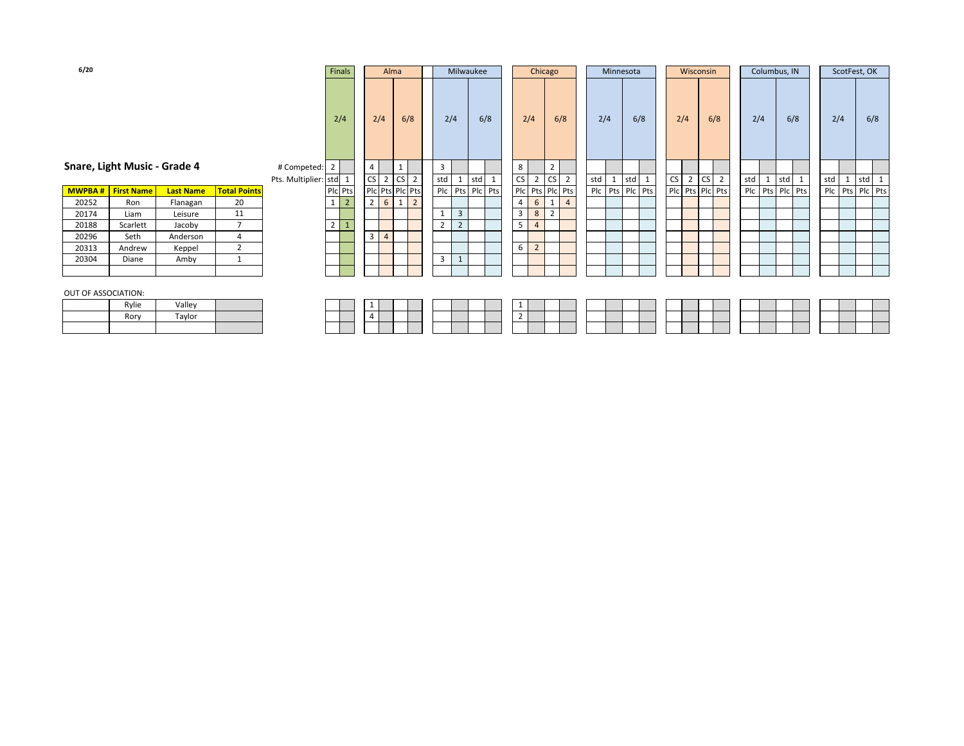| 6/20               |                             |                  |                     |                      | Finals                     |                                  | Alma            |                |                |                | Milwaukee       |    | Chicago        |                 |                |     | Minnesota       |       |     | Wisconsin      |                 |                |     | Columbus, IN    |     | ScotFest, OK    |  |
|--------------------|-----------------------------|------------------|---------------------|----------------------|----------------------------|----------------------------------|-----------------|----------------|----------------|----------------|-----------------|----|----------------|-----------------|----------------|-----|-----------------|-------|-----|----------------|-----------------|----------------|-----|-----------------|-----|-----------------|--|
|                    |                             |                  |                     |                      | 2/4                        | 2/4                              | 6/8             |                |                | 2/4            | 6/8             |    | 2/4            | 6/8             |                | 2/4 |                 | 6/8   | 2/4 |                | 6/8             |                | 2/4 | 6/8             | 2/4 | 6/8             |  |
|                    | nare, Light Music - Grade 4 |                  |                     | # Competed: 2        |                            | $\overline{4}$                   |                 |                | 3              |                |                 | 8  |                | $\overline{2}$  |                |     |                 |       |     |                |                 |                |     |                 |     |                 |  |
|                    |                             |                  |                     | Pts. Multiplier: std | 1                          | CS<br>$\overline{2}$             | CS <sub>2</sub> |                | std            |                | std 1           | CS | $\overline{2}$ | <b>CS</b>       | $\overline{2}$ | std |                 | std 1 | CS  | $\overline{2}$ | <b>CS</b>       | $\overline{2}$ | std | std 1           | std | std 1           |  |
| MWPBA#             | <b>First Name</b>           | <b>Last Name</b> | <b>Total Points</b> |                      | Plc Pts                    | Plc Pts Plc Pts                  |                 |                |                |                | Plc Pts Plc Pts |    |                | Plc Pts Plc Pts |                |     | Plc Pts Plc Pts |       |     |                | Plc Pts Plc Pts |                |     | Plc Pts Plc Pts |     | Plc Pts Plc Pts |  |
| 20252              | Ron                         | Flanagan         | 20                  |                      | $1 \mid$<br>$\overline{2}$ | $\overline{2}$<br>6              | 1               | $\overline{2}$ |                |                |                 | 4  | 6              |                 | $\overline{4}$ |     |                 |       |     |                |                 |                |     |                 |     |                 |  |
| 20174              | Liam                        | Leisure          | 11                  |                      |                            |                                  |                 |                | 1              | 3              |                 | 3  | 8              | 2               |                |     |                 |       |     |                |                 |                |     |                 |     |                 |  |
| 20188              | Scarlett                    | Jacoby           | $\overline{7}$      |                      | $2^{\circ}$                |                                  |                 |                | $\overline{2}$ | $\overline{2}$ |                 | 5  | $\overline{4}$ |                 |                |     |                 |       |     |                |                 |                |     |                 |     |                 |  |
| 20296              | Seth                        | Anderson         | 4                   |                      |                            | $\overline{3}$<br>$\overline{4}$ |                 |                |                |                |                 |    |                |                 |                |     |                 |       |     |                |                 |                |     |                 |     |                 |  |
| 20313              | Andrew                      | Keppel           | $\overline{2}$      |                      |                            |                                  |                 |                |                |                |                 | 6  | $\overline{2}$ |                 |                |     |                 |       |     |                |                 |                |     |                 |     |                 |  |
| 20304              | Diane                       | Amby             |                     |                      |                            |                                  |                 |                | 3              |                |                 |    |                |                 |                |     |                 |       |     |                |                 |                |     |                 |     |                 |  |
|                    |                             |                  |                     |                      |                            |                                  |                 |                |                |                |                 |    |                |                 |                |     |                 |       |     |                |                 |                |     |                 |     |                 |  |
| UT OF ASSOCIATION: |                             |                  |                     |                      |                            |                                  |                 |                |                |                |                 |    |                |                 |                |     |                 |       |     |                |                 |                |     |                 |     |                 |  |

## **Snare, Light Music - Grade 4** # Con

|               |                   |                  |                     |  | <u>. на с</u> | ິ |                 | ື | -              | ، ب د |      |
|---------------|-------------------|------------------|---------------------|--|---------------|---|-----------------|---|----------------|-------|------|
| <b>MWPBA#</b> | <b>First Name</b> | <b>Last Name</b> | <b>Total Points</b> |  | Plc Pts       |   | Pic Pts Pic Pts |   |                | Plc   | I Pt |
| 20252         | Ron               | Flanagan         | 20                  |  |               | 2 | 6               |   | $\overline{2}$ |       |      |
| 20174         | Liam              | Leisure          | 11                  |  |               |   |                 |   |                |       | 3    |
| 20188         | Scarlett          | Jacoby           |                     |  |               |   |                 |   |                | ∍     | 2    |
| 20296         | Seth              | Anderson         |                     |  |               | 3 | $\overline{4}$  |   |                |       |      |
| 20313         | Andrew            | Keppel           |                     |  |               |   |                 |   |                |       |      |
| 20304         | Diane             | Amby             |                     |  |               |   |                 |   |                | c     |      |
|               |                   |                  |                     |  |               |   |                 |   |                |       |      |

#### OUT OF ASSOCIATION:

| Rylie | Valley |  |
|-------|--------|--|
| Rory  | Tavlor |  |
|       |        |  |

| Rorv | ₹vlie |  |  |  |  |  |  |  |  |  |  |  |  |  |
|------|-------|--|--|--|--|--|--|--|--|--|--|--|--|--|
|      |       |  |  |  |  |  |  |  |  |  |  |  |  |  |
|      |       |  |  |  |  |  |  |  |  |  |  |  |  |  |

#### **6/20**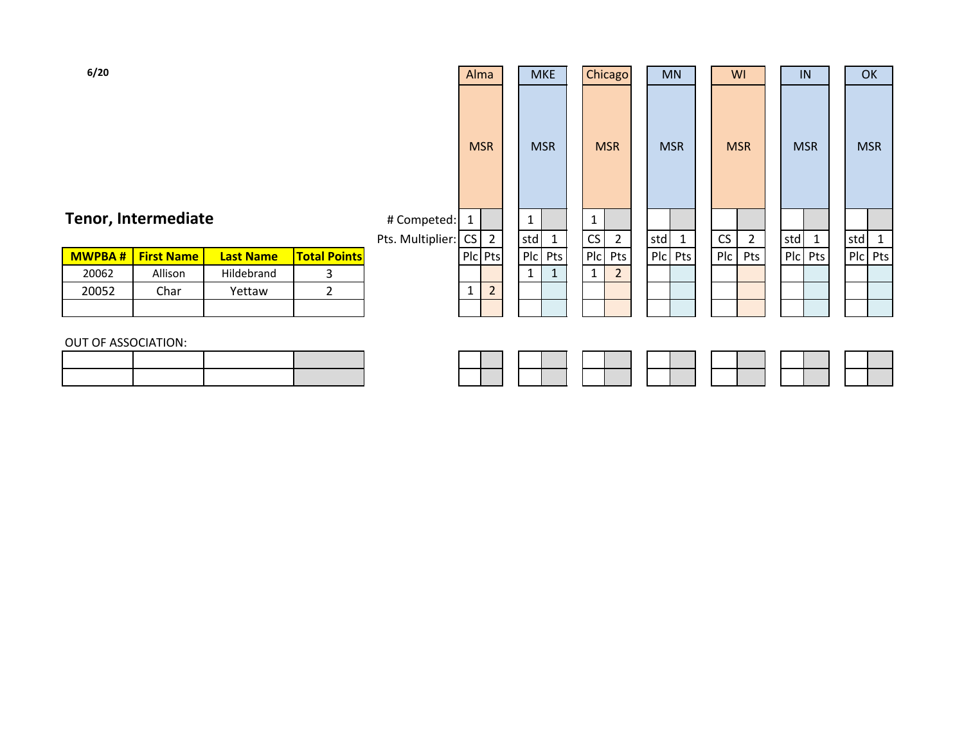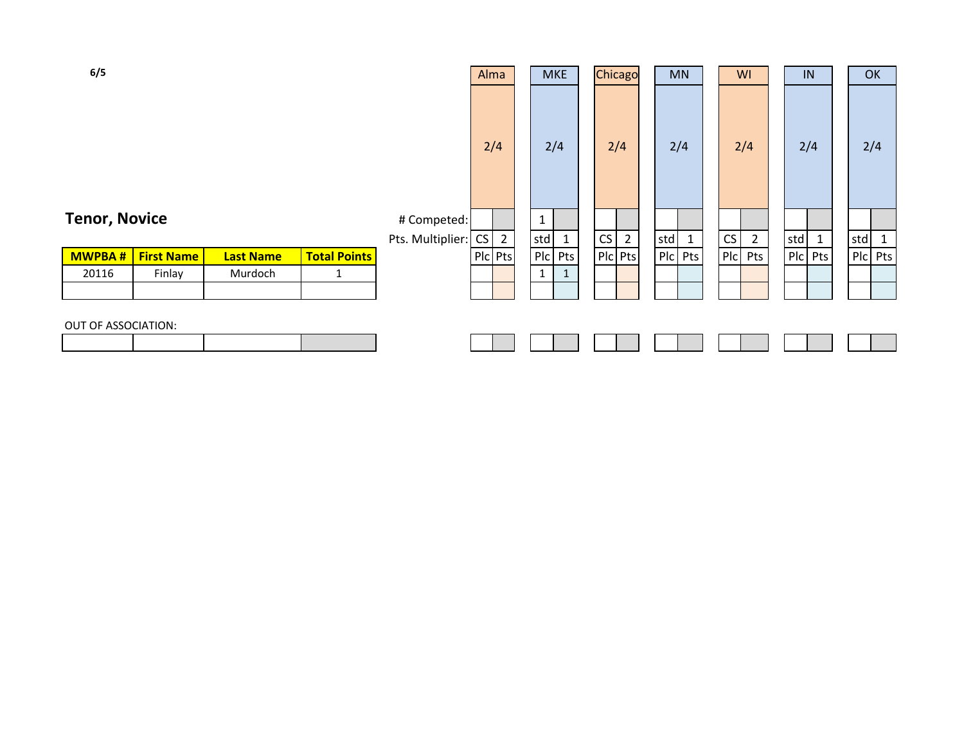| 6/5                  |                   |                  |                     |                     | Alma           | <b>MKE</b>   | Chicago           |     | <b>MN</b>    | WI      |                | IN  |              | OK  |              |
|----------------------|-------------------|------------------|---------------------|---------------------|----------------|--------------|-------------------|-----|--------------|---------|----------------|-----|--------------|-----|--------------|
|                      |                   |                  |                     |                     | 2/4            | 2/4          | 2/4               |     | 2/4          | 2/4     |                | 2/4 |              | 2/4 |              |
| <b>Tenor, Novice</b> |                   |                  |                     | # Competed:         |                | $\mathbf{1}$ |                   |     |              |         |                |     |              |     |              |
|                      |                   |                  |                     | Pts. Multiplier: CS | $\overline{2}$ | std          | CS<br>$2^{\circ}$ | std | $\mathbf{1}$ | CS      | $\overline{2}$ | std | $\mathbf{1}$ | std | $\mathbf{1}$ |
| <b>MWPBA#</b>        | <b>First Name</b> | <b>Last Name</b> | <b>Total Points</b> |                     | Plc Pts        | $P1c$ Pts    | PIc Pts           |     | PIc Pts      | Plc Pts |                |     | Plc Pts      |     | Plc Pts      |
| 20116                | Finlay            | Murdoch          | 1                   |                     |                | 1            |                   |     |              |         |                |     |              |     |              |
|                      |                   |                  |                     |                     |                |              |                   |     |              |         |                |     |              |     |              |
| OUT OF ASSOCIATION:  |                   |                  |                     |                     |                |              |                   |     |              |         |                |     |              |     |              |
|                      |                   |                  |                     |                     |                |              |                   |     |              |         |                |     |              |     |              |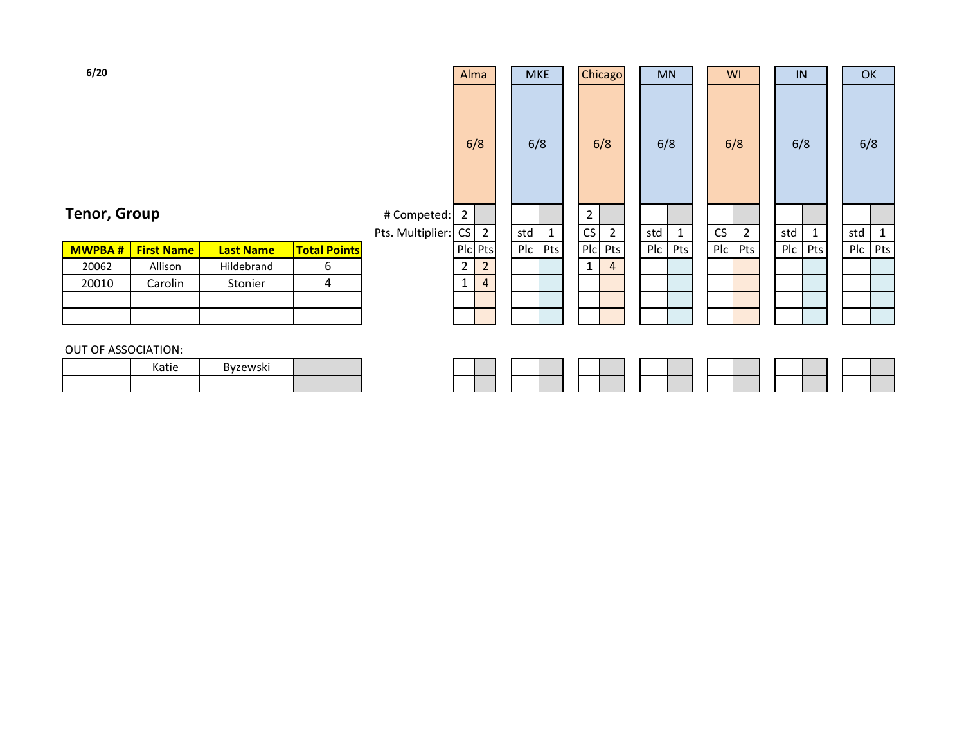| 6/20               |                   |                  |                     |                     | Alma           |                | <b>MKE</b> |     |              | Chicago        | <b>MN</b> |              | WI  |                | IN      |   | <b>OK</b> |              |
|--------------------|-------------------|------------------|---------------------|---------------------|----------------|----------------|------------|-----|--------------|----------------|-----------|--------------|-----|----------------|---------|---|-----------|--------------|
|                    |                   |                  |                     |                     | 6/8            |                | 6/8        |     | 6/8          |                | 6/8       |              | 6/8 |                | 6/8     |   | 6/8       |              |
| enor, Group        |                   |                  |                     | # Competed:         | $\overline{2}$ |                |            |     | $\mathbf{2}$ |                |           |              |     |                |         |   |           |              |
|                    |                   |                  |                     | Pts. Multiplier: CS |                | $\overline{2}$ | std        | 1   | CS           | $\overline{2}$ | std       | $\mathbf{1}$ | CS  | $\overline{2}$ | std     | 1 | std       | $\mathbf{1}$ |
| MWPBA #            | <b>First Name</b> | <b>Last Name</b> | <b>Total Points</b> |                     | Plc Pts        |                | Plc        | Pts | Plc Pts      |                | Plc       | Pts          | Plc | Pts            | Plc Pts |   | Pic       | Pts          |
| 20062              | Allison           | Hildebrand       | 6                   |                     | $\overline{2}$ | 2              |            |     | $\mathbf{1}$ | 4              |           |              |     |                |         |   |           |              |
| 20010              | Carolin           | Stonier          | 4                   |                     | $\mathbf{1}$   | $\overline{4}$ |            |     |              |                |           |              |     |                |         |   |           |              |
|                    |                   |                  |                     |                     |                |                |            |     |              |                |           |              |     |                |         |   |           |              |
|                    |                   |                  |                     |                     |                |                |            |     |              |                |           |              |     |                |         |   |           |              |
| UT OF ASSOCIATION: |                   |                  |                     |                     |                |                |            |     |              |                |           |              |     |                |         |   |           |              |
|                    | Katie             | Byzewski         |                     |                     |                |                |            |     |              |                |           |              |     |                |         |   |           |              |

# **Tenor, Group**

| <b>MWPBA#</b> | <b>First Name</b> | <b>Last Name</b> | <b>Total Points</b> |
|---------------|-------------------|------------------|---------------------|
| 20062         | Allison           | Hildebrand       |                     |
| 20010         | Carolin           | Stonier          |                     |
|               |                   |                  |                     |
|               |                   |                  |                     |

### OUT OF ASSOCIATION:

| Katie | Byzewski |  |
|-------|----------|--|
|       |          |  |

## **6/20**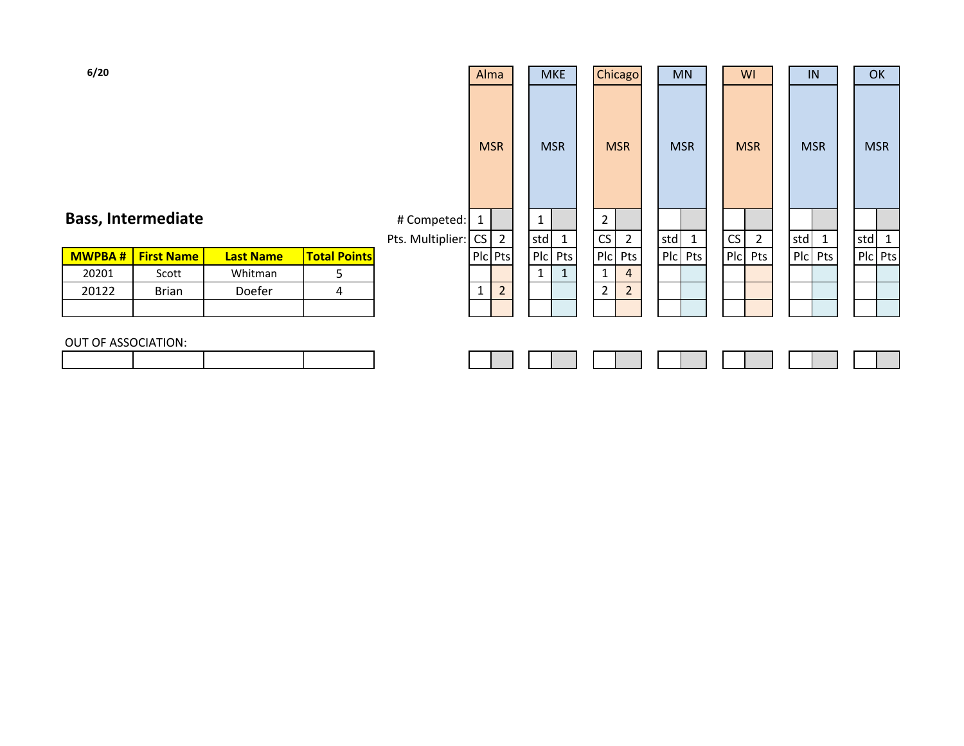| 6/20                |                           |                  |                     |                  | Alma         |                |     | <b>MKE</b> |                | Chicago        | <b>MN</b>  |              |                | WI             |            | IN      | OK         |  |
|---------------------|---------------------------|------------------|---------------------|------------------|--------------|----------------|-----|------------|----------------|----------------|------------|--------------|----------------|----------------|------------|---------|------------|--|
|                     |                           |                  |                     |                  | <b>MSR</b>   |                |     | <b>MSR</b> | <b>MSR</b>     |                | <b>MSR</b> |              |                | <b>MSR</b>     | <b>MSR</b> |         | <b>MSR</b> |  |
|                     | <b>Bass, Intermediate</b> |                  |                     | # Competed:      | $\mathbf{1}$ |                | 1   |            | $\overline{2}$ |                |            |              |                |                |            |         |            |  |
|                     |                           |                  |                     | Pts. Multiplier: | CS           | $\overline{2}$ | std | 1          | CS             | $\overline{2}$ | std        | $\mathbf{1}$ | CS             | $\overline{2}$ | std        | 1       | std        |  |
| <b>MWPBA#</b>       | <b>First Name</b>         | <b>Last Name</b> | <b>Total Points</b> |                  | PIc Pts      |                |     | Plc Pts    | Plc            | Pts            | P C        | Pts          | P <sub>c</sub> | Pts            |            | PIc Pts | Plc Pts    |  |
| 20201               | Scott                     | Whitman          | 5                   |                  |              |                |     |            | $\mathbf{1}$   | $\overline{a}$ |            |              |                |                |            |         |            |  |
| 20122               | <b>Brian</b>              | Doefer           | 4                   |                  | $\mathbf{1}$ | $\overline{2}$ |     |            | $\overline{2}$ | $\overline{2}$ |            |              |                |                |            |         |            |  |
|                     |                           |                  |                     |                  |              |                |     |            |                |                |            |              |                |                |            |         |            |  |
|                     |                           |                  |                     |                  |              |                |     |            |                |                |            |              |                |                |            |         |            |  |
| OUT OF ASSOCIATION: |                           |                  |                     |                  |              |                |     |            |                |                |            |              |                |                |            |         |            |  |
|                     |                           |                  |                     |                  |              |                |     |            |                |                |            |              |                |                |            |         |            |  |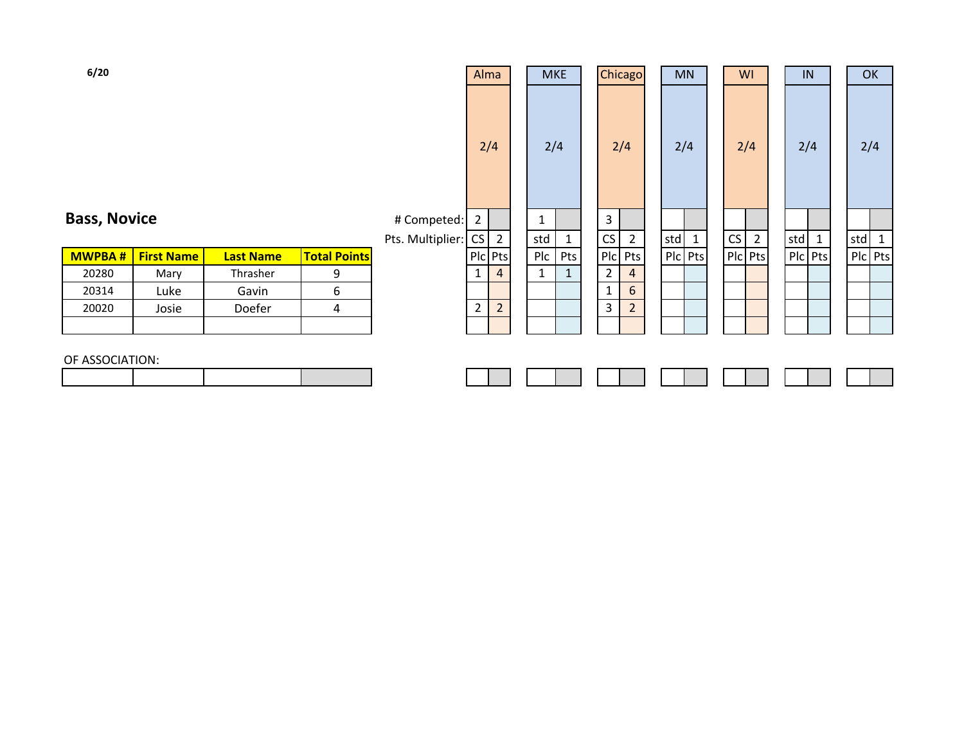| 6/20                |                   |                  |                     |                       | Alma                             |   | <b>MKE</b>   |              |                | Chicago        |     | <b>MN</b>    |    | WI             |     | IN           | OK                  |  |
|---------------------|-------------------|------------------|---------------------|-----------------------|----------------------------------|---|--------------|--------------|----------------|----------------|-----|--------------|----|----------------|-----|--------------|---------------------|--|
|                     |                   |                  |                     |                       | 2/4                              |   | 2/4          |              |                | 2/4            |     | 2/4          |    | 2/4            |     | 2/4          | 2/4                 |  |
| <b>Bass, Novice</b> |                   |                  |                     | # Competed:           | $2^{\circ}$                      |   | $\mathbf{1}$ |              | $\mathbf{3}$   |                |     |              |    |                |     |              |                     |  |
|                     |                   |                  |                     | Pts. Multiplier: CS 2 |                                  |   | std          | $\mathbf{1}$ | CS             | $\overline{2}$ | std | $\mathbf{1}$ | CS | $\overline{2}$ | std | $\mathbf{1}$ | std<br>$\mathbf{1}$ |  |
| <b>MWPBA#</b>       | <b>First Name</b> | <b>Last Name</b> | <b>Total Points</b> |                       | PIc Pts                          |   | Plc          | Pts          |                | Plc Pts        |     | Plc Pts      |    | PIc Pts        |     | Plc Pts      | Plc Pts             |  |
| 20280               | Mary              | Thrasher         | 9                   |                       |                                  | 4 | $\mathbf{1}$ | $\mathbf{1}$ | $\overline{2}$ | 4              |     |              |    |                |     |              |                     |  |
| 20314               | Luke              | Gavin            | 6                   |                       |                                  |   |              |              | $\mathbf{1}$   | 6              |     |              |    |                |     |              |                     |  |
| 20020               | Josie             | Doefer           | 4                   |                       | $\overline{2}$<br>$\overline{2}$ |   |              |              | 3              | $\overline{2}$ |     |              |    |                |     |              |                     |  |
|                     |                   |                  |                     |                       |                                  |   |              |              |                |                |     |              |    |                |     |              |                     |  |
| OF ASSOCIATION:     |                   |                  |                     |                       |                                  |   |              |              |                |                |     |              |    |                |     |              |                     |  |
|                     |                   |                  |                     |                       |                                  |   |              |              |                |                |     |              |    |                |     |              |                     |  |

# $O<sub>F</sub>$

E